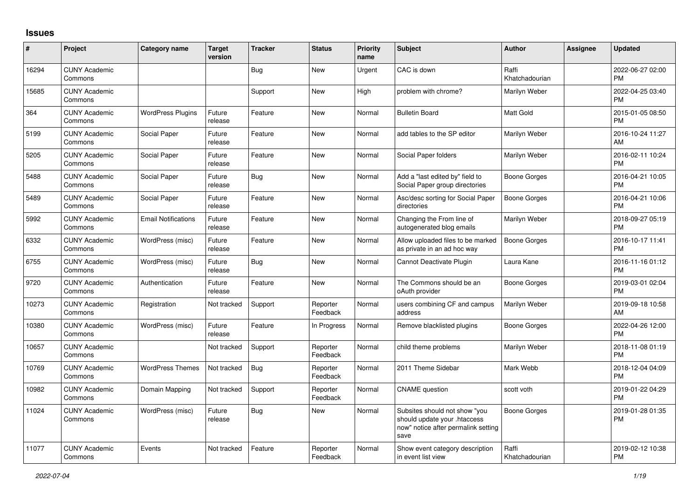## **Issues**

| #     | Project                         | <b>Category name</b>       | <b>Target</b><br>version | <b>Tracker</b> | <b>Status</b>        | <b>Priority</b><br>name | <b>Subject</b>                                                                                               | <b>Author</b>           | Assignee | <b>Updated</b>                |
|-------|---------------------------------|----------------------------|--------------------------|----------------|----------------------|-------------------------|--------------------------------------------------------------------------------------------------------------|-------------------------|----------|-------------------------------|
| 16294 | <b>CUNY Academic</b><br>Commons |                            |                          | Bug            | New                  | Urgent                  | CAC is down                                                                                                  | Raffi<br>Khatchadourian |          | 2022-06-27 02:00<br><b>PM</b> |
| 15685 | <b>CUNY Academic</b><br>Commons |                            |                          | Support        | New                  | High                    | problem with chrome?                                                                                         | Marilyn Weber           |          | 2022-04-25 03:40<br><b>PM</b> |
| 364   | <b>CUNY Academic</b><br>Commons | <b>WordPress Plugins</b>   | Future<br>release        | Feature        | <b>New</b>           | Normal                  | <b>Bulletin Board</b>                                                                                        | <b>Matt Gold</b>        |          | 2015-01-05 08:50<br><b>PM</b> |
| 5199  | <b>CUNY Academic</b><br>Commons | Social Paper               | Future<br>release        | Feature        | <b>New</b>           | Normal                  | add tables to the SP editor                                                                                  | Marilyn Weber           |          | 2016-10-24 11:27<br>AM        |
| 5205  | <b>CUNY Academic</b><br>Commons | Social Paper               | Future<br>release        | Feature        | New                  | Normal                  | Social Paper folders                                                                                         | Marilyn Weber           |          | 2016-02-11 10:24<br><b>PM</b> |
| 5488  | <b>CUNY Academic</b><br>Commons | Social Paper               | Future<br>release        | Bug            | New                  | Normal                  | Add a "last edited by" field to<br>Social Paper group directories                                            | Boone Gorges            |          | 2016-04-21 10:05<br><b>PM</b> |
| 5489  | <b>CUNY Academic</b><br>Commons | Social Paper               | Future<br>release        | Feature        | <b>New</b>           | Normal                  | Asc/desc sorting for Social Paper<br>directories                                                             | Boone Gorges            |          | 2016-04-21 10:06<br><b>PM</b> |
| 5992  | <b>CUNY Academic</b><br>Commons | <b>Email Notifications</b> | Future<br>release        | Feature        | <b>New</b>           | Normal                  | Changing the From line of<br>autogenerated blog emails                                                       | Marilyn Weber           |          | 2018-09-27 05:19<br><b>PM</b> |
| 6332  | <b>CUNY Academic</b><br>Commons | WordPress (misc)           | Future<br>release        | Feature        | <b>New</b>           | Normal                  | Allow uploaded files to be marked<br>as private in an ad hoc way                                             | <b>Boone Gorges</b>     |          | 2016-10-17 11:41<br><b>PM</b> |
| 6755  | <b>CUNY Academic</b><br>Commons | WordPress (misc)           | Future<br>release        | Bug            | <b>New</b>           | Normal                  | Cannot Deactivate Plugin                                                                                     | Laura Kane              |          | 2016-11-16 01:12<br><b>PM</b> |
| 9720  | <b>CUNY Academic</b><br>Commons | Authentication             | Future<br>release        | Feature        | <b>New</b>           | Normal                  | The Commons should be an<br>oAuth provider                                                                   | Boone Gorges            |          | 2019-03-01 02:04<br><b>PM</b> |
| 10273 | <b>CUNY Academic</b><br>Commons | Registration               | Not tracked              | Support        | Reporter<br>Feedback | Normal                  | users combining CF and campus<br>address                                                                     | Marilyn Weber           |          | 2019-09-18 10:58<br>AM        |
| 10380 | <b>CUNY Academic</b><br>Commons | WordPress (misc)           | Future<br>release        | Feature        | In Progress          | Normal                  | Remove blacklisted plugins                                                                                   | Boone Gorges            |          | 2022-04-26 12:00<br><b>PM</b> |
| 10657 | <b>CUNY Academic</b><br>Commons |                            | Not tracked              | Support        | Reporter<br>Feedback | Normal                  | child theme problems                                                                                         | Marilyn Weber           |          | 2018-11-08 01:19<br><b>PM</b> |
| 10769 | <b>CUNY Academic</b><br>Commons | <b>WordPress Themes</b>    | Not tracked              | Bug            | Reporter<br>Feedback | Normal                  | 2011 Theme Sidebar                                                                                           | Mark Webb               |          | 2018-12-04 04:09<br><b>PM</b> |
| 10982 | <b>CUNY Academic</b><br>Commons | Domain Mapping             | Not tracked              | Support        | Reporter<br>Feedback | Normal                  | <b>CNAME</b> question                                                                                        | scott voth              |          | 2019-01-22 04:29<br><b>PM</b> |
| 11024 | <b>CUNY Academic</b><br>Commons | WordPress (misc)           | Future<br>release        | Bug            | New                  | Normal                  | Subsites should not show "you<br>should update your .htaccess<br>now" notice after permalink setting<br>save | Boone Gorges            |          | 2019-01-28 01:35<br>PM        |
| 11077 | <b>CUNY Academic</b><br>Commons | Events                     | Not tracked              | Feature        | Reporter<br>Feedback | Normal                  | Show event category description<br>in event list view                                                        | Raffi<br>Khatchadourian |          | 2019-02-12 10:38<br>PM        |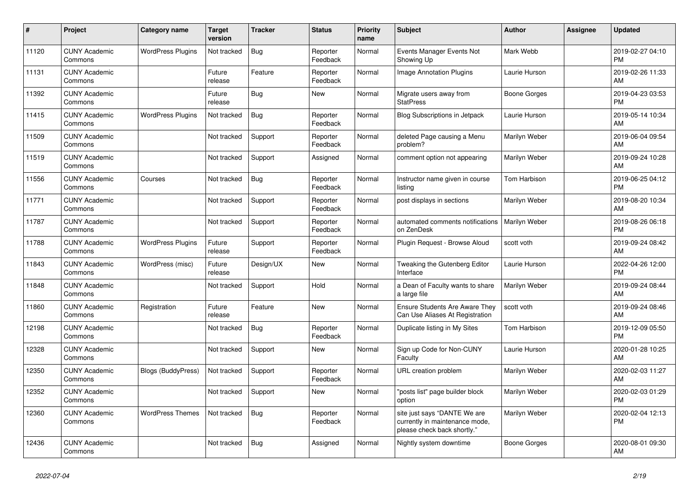| #     | <b>Project</b>                  | <b>Category name</b>      | <b>Target</b><br>version | <b>Tracker</b> | <b>Status</b>        | <b>Priority</b><br>name | <b>Subject</b>                                                                                | <b>Author</b> | <b>Assignee</b> | <b>Updated</b>                |
|-------|---------------------------------|---------------------------|--------------------------|----------------|----------------------|-------------------------|-----------------------------------------------------------------------------------------------|---------------|-----------------|-------------------------------|
| 11120 | <b>CUNY Academic</b><br>Commons | <b>WordPress Plugins</b>  | Not tracked              | Bug            | Reporter<br>Feedback | Normal                  | Events Manager Events Not<br>Showing Up                                                       | Mark Webb     |                 | 2019-02-27 04:10<br><b>PM</b> |
| 11131 | <b>CUNY Academic</b><br>Commons |                           | Future<br>release        | Feature        | Reporter<br>Feedback | Normal                  | Image Annotation Plugins                                                                      | Laurie Hurson |                 | 2019-02-26 11:33<br>AM        |
| 11392 | <b>CUNY Academic</b><br>Commons |                           | Future<br>release        | Bug            | New                  | Normal                  | Migrate users away from<br><b>StatPress</b>                                                   | Boone Gorges  |                 | 2019-04-23 03:53<br><b>PM</b> |
| 11415 | <b>CUNY Academic</b><br>Commons | <b>WordPress Plugins</b>  | Not tracked              | <b>Bug</b>     | Reporter<br>Feedback | Normal                  | <b>Blog Subscriptions in Jetpack</b>                                                          | Laurie Hurson |                 | 2019-05-14 10:34<br>AM        |
| 11509 | <b>CUNY Academic</b><br>Commons |                           | Not tracked              | Support        | Reporter<br>Feedback | Normal                  | deleted Page causing a Menu<br>problem?                                                       | Marilyn Weber |                 | 2019-06-04 09:54<br>AM        |
| 11519 | <b>CUNY Academic</b><br>Commons |                           | Not tracked              | Support        | Assigned             | Normal                  | comment option not appearing                                                                  | Marilyn Weber |                 | 2019-09-24 10:28<br>AM        |
| 11556 | <b>CUNY Academic</b><br>Commons | Courses                   | Not tracked              | Bug            | Reporter<br>Feedback | Normal                  | Instructor name given in course<br>listina                                                    | Tom Harbison  |                 | 2019-06-25 04:12<br><b>PM</b> |
| 11771 | <b>CUNY Academic</b><br>Commons |                           | Not tracked              | Support        | Reporter<br>Feedback | Normal                  | post displays in sections                                                                     | Marilyn Weber |                 | 2019-08-20 10:34<br>AM        |
| 11787 | <b>CUNY Academic</b><br>Commons |                           | Not tracked              | Support        | Reporter<br>Feedback | Normal                  | automated comments notifications<br>on ZenDesk                                                | Marilyn Weber |                 | 2019-08-26 06:18<br><b>PM</b> |
| 11788 | <b>CUNY Academic</b><br>Commons | <b>WordPress Plugins</b>  | Future<br>release        | Support        | Reporter<br>Feedback | Normal                  | Plugin Request - Browse Aloud                                                                 | scott voth    |                 | 2019-09-24 08:42<br>AM        |
| 11843 | <b>CUNY Academic</b><br>Commons | WordPress (misc)          | Future<br>release        | Design/UX      | <b>New</b>           | Normal                  | Tweaking the Gutenberg Editor<br>Interface                                                    | Laurie Hurson |                 | 2022-04-26 12:00<br><b>PM</b> |
| 11848 | <b>CUNY Academic</b><br>Commons |                           | Not tracked              | Support        | Hold                 | Normal                  | a Dean of Faculty wants to share<br>a large file                                              | Marilyn Weber |                 | 2019-09-24 08:44<br>AM        |
| 11860 | <b>CUNY Academic</b><br>Commons | Registration              | Future<br>release        | Feature        | New                  | Normal                  | Ensure Students Are Aware They<br>Can Use Aliases At Registration                             | scott voth    |                 | 2019-09-24 08:46<br>AM        |
| 12198 | <b>CUNY Academic</b><br>Commons |                           | Not tracked              | Bug            | Reporter<br>Feedback | Normal                  | Duplicate listing in My Sites                                                                 | Tom Harbison  |                 | 2019-12-09 05:50<br><b>PM</b> |
| 12328 | <b>CUNY Academic</b><br>Commons |                           | Not tracked              | Support        | New                  | Normal                  | Sign up Code for Non-CUNY<br>Faculty                                                          | Laurie Hurson |                 | 2020-01-28 10:25<br>AM        |
| 12350 | <b>CUNY Academic</b><br>Commons | <b>Blogs (BuddyPress)</b> | Not tracked              | Support        | Reporter<br>Feedback | Normal                  | URL creation problem                                                                          | Marilyn Weber |                 | 2020-02-03 11:27<br>AM        |
| 12352 | <b>CUNY Academic</b><br>Commons |                           | Not tracked              | Support        | <b>New</b>           | Normal                  | 'posts list" page builder block<br>option                                                     | Marilyn Weber |                 | 2020-02-03 01:29<br><b>PM</b> |
| 12360 | <b>CUNY Academic</b><br>Commons | <b>WordPress Themes</b>   | Not tracked              | <b>Bug</b>     | Reporter<br>Feedback | Normal                  | site just says "DANTE We are<br>currently in maintenance mode,<br>please check back shortly." | Marilyn Weber |                 | 2020-02-04 12:13<br><b>PM</b> |
| 12436 | <b>CUNY Academic</b><br>Commons |                           | Not tracked              | <b>Bug</b>     | Assigned             | Normal                  | Nightly system downtime                                                                       | Boone Gorges  |                 | 2020-08-01 09:30<br>AM        |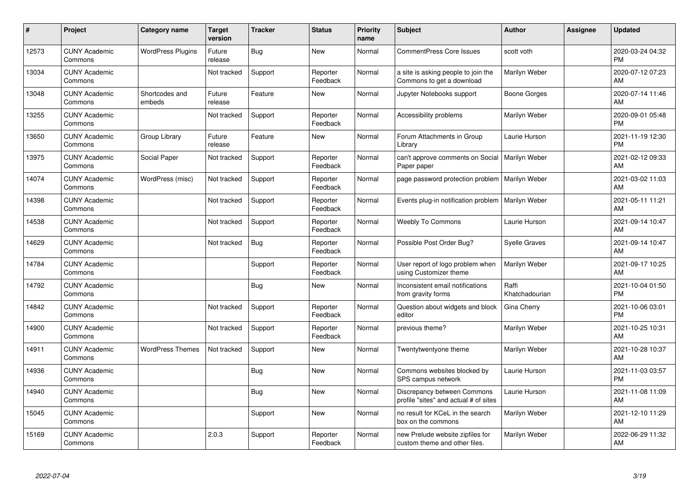| #     | Project                         | <b>Category name</b>     | Target<br>version | <b>Tracker</b> | <b>Status</b>        | <b>Priority</b><br>name | <b>Subject</b>                                                       | <b>Author</b>           | <b>Assignee</b> | <b>Updated</b>                |
|-------|---------------------------------|--------------------------|-------------------|----------------|----------------------|-------------------------|----------------------------------------------------------------------|-------------------------|-----------------|-------------------------------|
| 12573 | <b>CUNY Academic</b><br>Commons | <b>WordPress Plugins</b> | Future<br>release | Bug            | <b>New</b>           | Normal                  | <b>CommentPress Core Issues</b>                                      | scott voth              |                 | 2020-03-24 04:32<br><b>PM</b> |
| 13034 | <b>CUNY Academic</b><br>Commons |                          | Not tracked       | Support        | Reporter<br>Feedback | Normal                  | a site is asking people to join the<br>Commons to get a download     | Marilyn Weber           |                 | 2020-07-12 07:23<br>AM        |
| 13048 | <b>CUNY Academic</b><br>Commons | Shortcodes and<br>embeds | Future<br>release | Feature        | <b>New</b>           | Normal                  | Jupyter Notebooks support                                            | Boone Gorges            |                 | 2020-07-14 11:46<br>AM        |
| 13255 | <b>CUNY Academic</b><br>Commons |                          | Not tracked       | Support        | Reporter<br>Feedback | Normal                  | Accessibility problems                                               | Marilyn Weber           |                 | 2020-09-01 05:48<br><b>PM</b> |
| 13650 | <b>CUNY Academic</b><br>Commons | Group Library            | Future<br>release | Feature        | <b>New</b>           | Normal                  | Forum Attachments in Group<br>Library                                | Laurie Hurson           |                 | 2021-11-19 12:30<br><b>PM</b> |
| 13975 | <b>CUNY Academic</b><br>Commons | Social Paper             | Not tracked       | Support        | Reporter<br>Feedback | Normal                  | can't approve comments on Social<br>Paper paper                      | Marilyn Weber           |                 | 2021-02-12 09:33<br><b>AM</b> |
| 14074 | <b>CUNY Academic</b><br>Commons | WordPress (misc)         | Not tracked       | Support        | Reporter<br>Feedback | Normal                  | page password protection problem                                     | Marilyn Weber           |                 | 2021-03-02 11:03<br>AM        |
| 14398 | <b>CUNY Academic</b><br>Commons |                          | Not tracked       | Support        | Reporter<br>Feedback | Normal                  | Events plug-in notification problem                                  | Marilyn Weber           |                 | 2021-05-11 11:21<br>AM        |
| 14538 | <b>CUNY Academic</b><br>Commons |                          | Not tracked       | Support        | Reporter<br>Feedback | Normal                  | <b>Weebly To Commons</b>                                             | Laurie Hurson           |                 | 2021-09-14 10:47<br>AM        |
| 14629 | <b>CUNY Academic</b><br>Commons |                          | Not tracked       | <b>Bug</b>     | Reporter<br>Feedback | Normal                  | Possible Post Order Bug?                                             | <b>Syelle Graves</b>    |                 | 2021-09-14 10:47<br>AM        |
| 14784 | <b>CUNY Academic</b><br>Commons |                          |                   | Support        | Reporter<br>Feedback | Normal                  | User report of logo problem when<br>using Customizer theme           | Marilyn Weber           |                 | 2021-09-17 10:25<br>AM        |
| 14792 | <b>CUNY Academic</b><br>Commons |                          |                   | <b>Bug</b>     | New                  | Normal                  | Inconsistent email notifications<br>from gravity forms               | Raffi<br>Khatchadourian |                 | 2021-10-04 01:50<br><b>PM</b> |
| 14842 | <b>CUNY Academic</b><br>Commons |                          | Not tracked       | Support        | Reporter<br>Feedback | Normal                  | Question about widgets and block<br>editor                           | Gina Cherry             |                 | 2021-10-06 03:01<br><b>PM</b> |
| 14900 | <b>CUNY Academic</b><br>Commons |                          | Not tracked       | Support        | Reporter<br>Feedback | Normal                  | previous theme?                                                      | Marilyn Weber           |                 | 2021-10-25 10:31<br>AM        |
| 14911 | <b>CUNY Academic</b><br>Commons | <b>WordPress Themes</b>  | Not tracked       | Support        | <b>New</b>           | Normal                  | Twentytwentyone theme                                                | Marilyn Weber           |                 | 2021-10-28 10:37<br>AM        |
| 14936 | <b>CUNY Academic</b><br>Commons |                          |                   | Bug            | <b>New</b>           | Normal                  | Commons websites blocked by<br>SPS campus network                    | Laurie Hurson           |                 | 2021-11-03 03:57<br><b>PM</b> |
| 14940 | <b>CUNY Academic</b><br>Commons |                          |                   | Bug            | <b>New</b>           | Normal                  | Discrepancy between Commons<br>profile "sites" and actual # of sites | Laurie Hurson           |                 | 2021-11-08 11:09<br>AM        |
| 15045 | <b>CUNY Academic</b><br>Commons |                          |                   | Support        | <b>New</b>           | Normal                  | no result for KCeL in the search<br>box on the commons               | Marilyn Weber           |                 | 2021-12-10 11:29<br>AM        |
| 15169 | <b>CUNY Academic</b><br>Commons |                          | 2.0.3             | Support        | Reporter<br>Feedback | Normal                  | new Prelude website zipfiles for<br>custom theme and other files.    | Marilyn Weber           |                 | 2022-06-29 11:32<br>AM        |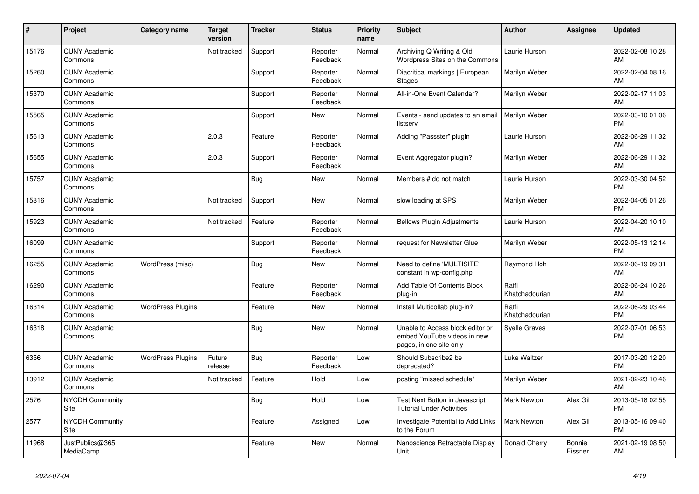| #     | Project                         | <b>Category name</b>     | <b>Target</b><br>version | <b>Tracker</b> | <b>Status</b>        | <b>Priority</b><br>name | <b>Subject</b>                                                                             | <b>Author</b>           | Assignee          | <b>Updated</b>                |
|-------|---------------------------------|--------------------------|--------------------------|----------------|----------------------|-------------------------|--------------------------------------------------------------------------------------------|-------------------------|-------------------|-------------------------------|
| 15176 | <b>CUNY Academic</b><br>Commons |                          | Not tracked              | Support        | Reporter<br>Feedback | Normal                  | Archiving Q Writing & Old<br>Wordpress Sites on the Commons                                | Laurie Hurson           |                   | 2022-02-08 10:28<br>AM        |
| 15260 | <b>CUNY Academic</b><br>Commons |                          |                          | Support        | Reporter<br>Feedback | Normal                  | Diacritical markings   European<br><b>Stages</b>                                           | Marilyn Weber           |                   | 2022-02-04 08:16<br>AM        |
| 15370 | <b>CUNY Academic</b><br>Commons |                          |                          | Support        | Reporter<br>Feedback | Normal                  | All-in-One Event Calendar?                                                                 | Marilyn Weber           |                   | 2022-02-17 11:03<br>AM        |
| 15565 | <b>CUNY Academic</b><br>Commons |                          |                          | Support        | <b>New</b>           | Normal                  | Events - send updates to an email<br>listserv                                              | Marilyn Weber           |                   | 2022-03-10 01:06<br><b>PM</b> |
| 15613 | <b>CUNY Academic</b><br>Commons |                          | 2.0.3                    | Feature        | Reporter<br>Feedback | Normal                  | Adding "Passster" plugin                                                                   | Laurie Hurson           |                   | 2022-06-29 11:32<br>AM        |
| 15655 | <b>CUNY Academic</b><br>Commons |                          | 2.0.3                    | Support        | Reporter<br>Feedback | Normal                  | Event Aggregator plugin?                                                                   | Marilyn Weber           |                   | 2022-06-29 11:32<br>AM        |
| 15757 | <b>CUNY Academic</b><br>Commons |                          |                          | <b>Bug</b>     | <b>New</b>           | Normal                  | Members # do not match                                                                     | Laurie Hurson           |                   | 2022-03-30 04:52<br><b>PM</b> |
| 15816 | <b>CUNY Academic</b><br>Commons |                          | Not tracked              | Support        | <b>New</b>           | Normal                  | slow loading at SPS                                                                        | Marilyn Weber           |                   | 2022-04-05 01:26<br><b>PM</b> |
| 15923 | <b>CUNY Academic</b><br>Commons |                          | Not tracked              | Feature        | Reporter<br>Feedback | Normal                  | <b>Bellows Plugin Adjustments</b>                                                          | Laurie Hurson           |                   | 2022-04-20 10:10<br>AM        |
| 16099 | <b>CUNY Academic</b><br>Commons |                          |                          | Support        | Reporter<br>Feedback | Normal                  | request for Newsletter Glue                                                                | Marilyn Weber           |                   | 2022-05-13 12:14<br><b>PM</b> |
| 16255 | <b>CUNY Academic</b><br>Commons | WordPress (misc)         |                          | Bug            | <b>New</b>           | Normal                  | Need to define 'MULTISITE'<br>constant in wp-config.php                                    | Raymond Hoh             |                   | 2022-06-19 09:31<br>AM        |
| 16290 | <b>CUNY Academic</b><br>Commons |                          |                          | Feature        | Reporter<br>Feedback | Normal                  | Add Table Of Contents Block<br>plug-in                                                     | Raffi<br>Khatchadourian |                   | 2022-06-24 10:26<br>AM        |
| 16314 | <b>CUNY Academic</b><br>Commons | <b>WordPress Plugins</b> |                          | Feature        | <b>New</b>           | Normal                  | Install Multicollab plug-in?                                                               | Raffi<br>Khatchadourian |                   | 2022-06-29 03:44<br><b>PM</b> |
| 16318 | <b>CUNY Academic</b><br>Commons |                          |                          | Bug            | <b>New</b>           | Normal                  | Unable to Access block editor or<br>embed YouTube videos in new<br>pages, in one site only | <b>Syelle Graves</b>    |                   | 2022-07-01 06:53<br><b>PM</b> |
| 6356  | <b>CUNY Academic</b><br>Commons | <b>WordPress Plugins</b> | Future<br>release        | Bug            | Reporter<br>Feedback | Low                     | Should Subscribe2 be<br>deprecated?                                                        | Luke Waltzer            |                   | 2017-03-20 12:20<br><b>PM</b> |
| 13912 | <b>CUNY Academic</b><br>Commons |                          | Not tracked              | Feature        | Hold                 | Low                     | posting "missed schedule"                                                                  | Marilyn Weber           |                   | 2021-02-23 10:46<br>AM        |
| 2576  | <b>NYCDH Community</b><br>Site  |                          |                          | Bug            | Hold                 | Low                     | Test Next Button in Javascript<br><b>Tutorial Under Activities</b>                         | <b>Mark Newton</b>      | Alex Gil          | 2013-05-18 02:55<br><b>PM</b> |
| 2577  | <b>NYCDH Community</b><br>Site  |                          |                          | Feature        | Assigned             | Low                     | Investigate Potential to Add Links<br>to the Forum                                         | <b>Mark Newton</b>      | Alex Gil          | 2013-05-16 09:40<br><b>PM</b> |
| 11968 | JustPublics@365<br>MediaCamp    |                          |                          | Feature        | <b>New</b>           | Normal                  | Nanoscience Retractable Display<br>Unit                                                    | Donald Cherry           | Bonnie<br>Eissner | 2021-02-19 08:50<br>AM        |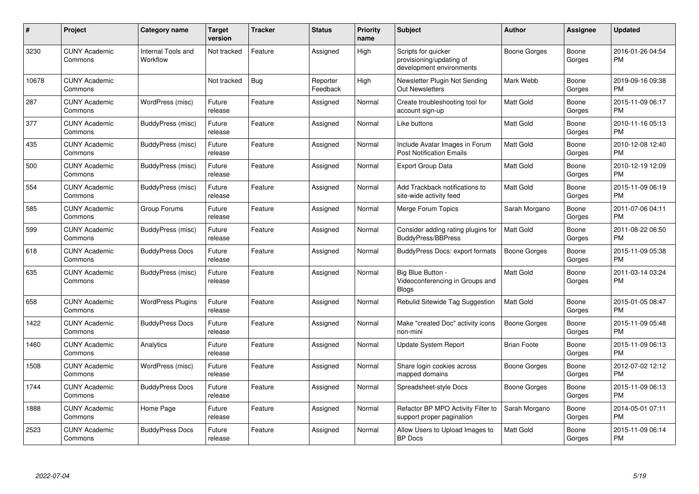| $\vert$ # | Project                         | <b>Category name</b>           | <b>Target</b><br>version | <b>Tracker</b> | <b>Status</b>        | Priority<br>name | <b>Subject</b>                                                              | <b>Author</b>      | <b>Assignee</b> | <b>Updated</b>                |
|-----------|---------------------------------|--------------------------------|--------------------------|----------------|----------------------|------------------|-----------------------------------------------------------------------------|--------------------|-----------------|-------------------------------|
| 3230      | <b>CUNY Academic</b><br>Commons | Internal Tools and<br>Workflow | Not tracked              | Feature        | Assigned             | High             | Scripts for quicker<br>provisioning/updating of<br>development environments | Boone Gorges       | Boone<br>Gorges | 2016-01-26 04:54<br><b>PM</b> |
| 10678     | <b>CUNY Academic</b><br>Commons |                                | Not tracked              | Bug            | Reporter<br>Feedback | High             | Newsletter Plugin Not Sending<br>Out Newsletters                            | Mark Webb          | Boone<br>Gorges | 2019-09-16 09:38<br><b>PM</b> |
| 287       | <b>CUNY Academic</b><br>Commons | WordPress (misc)               | Future<br>release        | Feature        | Assigned             | Normal           | Create troubleshooting tool for<br>account sign-up                          | Matt Gold          | Boone<br>Gorges | 2015-11-09 06:17<br><b>PM</b> |
| 377       | <b>CUNY Academic</b><br>Commons | BuddyPress (misc)              | Future<br>release        | Feature        | Assigned             | Normal           | Like buttons                                                                | Matt Gold          | Boone<br>Gorges | 2010-11-16 05:13<br><b>PM</b> |
| 435       | <b>CUNY Academic</b><br>Commons | BuddyPress (misc)              | Future<br>release        | Feature        | Assigned             | Normal           | Include Avatar Images in Forum<br><b>Post Notification Emails</b>           | Matt Gold          | Boone<br>Gorges | 2010-12-08 12:40<br><b>PM</b> |
| 500       | <b>CUNY Academic</b><br>Commons | BuddyPress (misc)              | Future<br>release        | Feature        | Assigned             | Normal           | Export Group Data                                                           | Matt Gold          | Boone<br>Gorges | 2010-12-19 12:09<br><b>PM</b> |
| 554       | <b>CUNY Academic</b><br>Commons | BuddyPress (misc)              | Future<br>release        | Feature        | Assigned             | Normal           | Add Trackback notifications to<br>site-wide activity feed                   | <b>Matt Gold</b>   | Boone<br>Gorges | 2015-11-09 06:19<br><b>PM</b> |
| 585       | <b>CUNY Academic</b><br>Commons | Group Forums                   | Future<br>release        | Feature        | Assigned             | Normal           | Merge Forum Topics                                                          | Sarah Morgano      | Boone<br>Gorges | 2011-07-06 04:11<br><b>PM</b> |
| 599       | <b>CUNY Academic</b><br>Commons | BuddyPress (misc)              | Future<br>release        | Feature        | Assigned             | Normal           | Consider adding rating plugins for<br><b>BuddyPress/BBPress</b>             | <b>Matt Gold</b>   | Boone<br>Gorges | 2011-08-22 06:50<br><b>PM</b> |
| 618       | <b>CUNY Academic</b><br>Commons | <b>BuddyPress Docs</b>         | Future<br>release        | Feature        | Assigned             | Normal           | BuddyPress Docs: export formats                                             | Boone Gorges       | Boone<br>Gorges | 2015-11-09 05:38<br><b>PM</b> |
| 635       | <b>CUNY Academic</b><br>Commons | BuddyPress (misc)              | Future<br>release        | Feature        | Assigned             | Normal           | Big Blue Button -<br>Videoconferencing in Groups and<br><b>Blogs</b>        | Matt Gold          | Boone<br>Gorges | 2011-03-14 03:24<br><b>PM</b> |
| 658       | <b>CUNY Academic</b><br>Commons | <b>WordPress Plugins</b>       | Future<br>release        | Feature        | Assigned             | Normal           | Rebulid Sitewide Tag Suggestion                                             | <b>Matt Gold</b>   | Boone<br>Gorges | 2015-01-05 08:47<br><b>PM</b> |
| 1422      | <b>CUNY Academic</b><br>Commons | <b>BuddyPress Docs</b>         | Future<br>release        | Feature        | Assigned             | Normal           | Make "created Doc" activity icons<br>non-mini                               | Boone Gorges       | Boone<br>Gorges | 2015-11-09 05:48<br><b>PM</b> |
| 1460      | <b>CUNY Academic</b><br>Commons | Analytics                      | Future<br>release        | Feature        | Assigned             | Normal           | <b>Update System Report</b>                                                 | <b>Brian Foote</b> | Boone<br>Gorges | 2015-11-09 06:13<br><b>PM</b> |
| 1508      | <b>CUNY Academic</b><br>Commons | WordPress (misc)               | Future<br>release        | Feature        | Assigned             | Normal           | Share login cookies across<br>mapped domains                                | Boone Gorges       | Boone<br>Gorges | 2012-07-02 12:12<br><b>PM</b> |
| 1744      | <b>CUNY Academic</b><br>Commons | <b>BuddyPress Docs</b>         | Future<br>release        | Feature        | Assigned             | Normal           | Spreadsheet-style Docs                                                      | Boone Gorges       | Boone<br>Gorges | 2015-11-09 06:13<br><b>PM</b> |
| 1888      | <b>CUNY Academic</b><br>Commons | Home Page                      | Future<br>release        | Feature        | Assigned             | Normal           | Refactor BP MPO Activity Filter to<br>support proper pagination             | Sarah Morgano      | Boone<br>Gorges | 2014-05-01 07:11<br><b>PM</b> |
| 2523      | <b>CUNY Academic</b><br>Commons | <b>BuddyPress Docs</b>         | Future<br>release        | Feature        | Assigned             | Normal           | Allow Users to Upload Images to<br><b>BP</b> Docs                           | <b>Matt Gold</b>   | Boone<br>Gorges | 2015-11-09 06:14<br>PM        |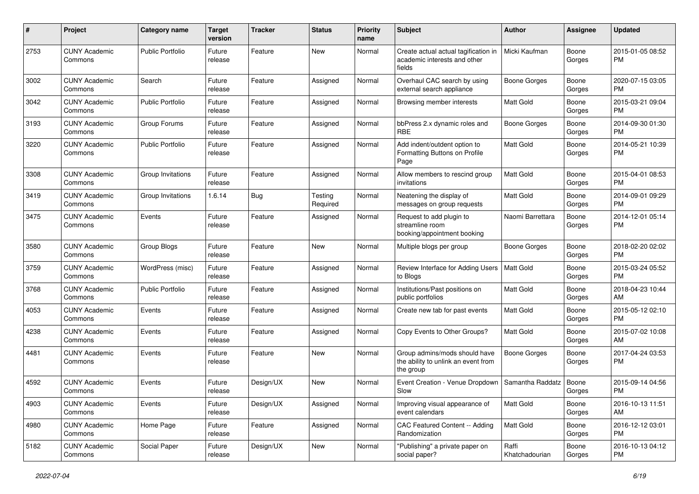| #    | Project                         | <b>Category name</b>    | <b>Target</b><br>version | <b>Tracker</b> | <b>Status</b>       | Priority<br>name | <b>Subject</b>                                                                    | Author                  | <b>Assignee</b> | <b>Updated</b>                |
|------|---------------------------------|-------------------------|--------------------------|----------------|---------------------|------------------|-----------------------------------------------------------------------------------|-------------------------|-----------------|-------------------------------|
| 2753 | <b>CUNY Academic</b><br>Commons | <b>Public Portfolio</b> | Future<br>release        | Feature        | <b>New</b>          | Normal           | Create actual actual tagification in<br>academic interests and other<br>fields    | Micki Kaufman           | Boone<br>Gorges | 2015-01-05 08:52<br><b>PM</b> |
| 3002 | <b>CUNY Academic</b><br>Commons | Search                  | Future<br>release        | Feature        | Assigned            | Normal           | Overhaul CAC search by using<br>external search appliance                         | <b>Boone Gorges</b>     | Boone<br>Gorges | 2020-07-15 03:05<br>PM.       |
| 3042 | <b>CUNY Academic</b><br>Commons | <b>Public Portfolio</b> | Future<br>release        | Feature        | Assigned            | Normal           | Browsing member interests                                                         | <b>Matt Gold</b>        | Boone<br>Gorges | 2015-03-21 09:04<br><b>PM</b> |
| 3193 | <b>CUNY Academic</b><br>Commons | Group Forums            | Future<br>release        | Feature        | Assigned            | Normal           | bbPress 2.x dynamic roles and<br><b>RBE</b>                                       | <b>Boone Gorges</b>     | Boone<br>Gorges | 2014-09-30 01:30<br><b>PM</b> |
| 3220 | <b>CUNY Academic</b><br>Commons | <b>Public Portfolio</b> | Future<br>release        | Feature        | Assigned            | Normal           | Add indent/outdent option to<br>Formatting Buttons on Profile<br>Page             | <b>Matt Gold</b>        | Boone<br>Gorges | 2014-05-21 10:39<br><b>PM</b> |
| 3308 | <b>CUNY Academic</b><br>Commons | Group Invitations       | Future<br>release        | Feature        | Assigned            | Normal           | Allow members to rescind group<br>invitations                                     | Matt Gold               | Boone<br>Gorges | 2015-04-01 08:53<br><b>PM</b> |
| 3419 | <b>CUNY Academic</b><br>Commons | Group Invitations       | 1.6.14                   | Bug            | Testing<br>Required | Normal           | Neatening the display of<br>messages on group requests                            | <b>Matt Gold</b>        | Boone<br>Gorges | 2014-09-01 09:29<br><b>PM</b> |
| 3475 | <b>CUNY Academic</b><br>Commons | Events                  | Future<br>release        | Feature        | Assigned            | Normal           | Request to add plugin to<br>streamline room<br>booking/appointment booking        | Naomi Barrettara        | Boone<br>Gorges | 2014-12-01 05:14<br><b>PM</b> |
| 3580 | <b>CUNY Academic</b><br>Commons | Group Blogs             | Future<br>release        | Feature        | New                 | Normal           | Multiple blogs per group                                                          | Boone Gorges            | Boone<br>Gorges | 2018-02-20 02:02<br><b>PM</b> |
| 3759 | <b>CUNY Academic</b><br>Commons | WordPress (misc)        | Future<br>release        | Feature        | Assigned            | Normal           | Review Interface for Adding Users<br>to Blogs                                     | <b>Matt Gold</b>        | Boone<br>Gorges | 2015-03-24 05:52<br><b>PM</b> |
| 3768 | <b>CUNY Academic</b><br>Commons | Public Portfolio        | Future<br>release        | Feature        | Assigned            | Normal           | Institutions/Past positions on<br>public portfolios                               | <b>Matt Gold</b>        | Boone<br>Gorges | 2018-04-23 10:44<br>AM        |
| 4053 | <b>CUNY Academic</b><br>Commons | Events                  | Future<br>release        | Feature        | Assigned            | Normal           | Create new tab for past events                                                    | <b>Matt Gold</b>        | Boone<br>Gorges | 2015-05-12 02:10<br><b>PM</b> |
| 4238 | <b>CUNY Academic</b><br>Commons | Events                  | Future<br>release        | Feature        | Assigned            | Normal           | Copy Events to Other Groups?                                                      | Matt Gold               | Boone<br>Gorges | 2015-07-02 10:08<br>AM        |
| 4481 | <b>CUNY Academic</b><br>Commons | Events                  | Future<br>release        | Feature        | New                 | Normal           | Group admins/mods should have<br>the ability to unlink an event from<br>the group | Boone Gorges            | Boone<br>Gorges | 2017-04-24 03:53<br><b>PM</b> |
| 4592 | <b>CUNY Academic</b><br>Commons | Events                  | Future<br>release        | Design/UX      | <b>New</b>          | Normal           | Event Creation - Venue Dropdown<br>Slow                                           | Samantha Raddatz        | Boone<br>Gorges | 2015-09-14 04:56<br><b>PM</b> |
| 4903 | <b>CUNY Academic</b><br>Commons | Events                  | Future<br>release        | Design/UX      | Assigned            | Normal           | Improving visual appearance of<br>event calendars                                 | Matt Gold               | Boone<br>Gorges | 2016-10-13 11:51<br>AM        |
| 4980 | <b>CUNY Academic</b><br>Commons | Home Page               | Future<br>release        | Feature        | Assigned            | Normal           | CAC Featured Content -- Adding<br>Randomization                                   | Matt Gold               | Boone<br>Gorges | 2016-12-12 03:01<br><b>PM</b> |
| 5182 | <b>CUNY Academic</b><br>Commons | Social Paper            | Future<br>release        | Design/UX      | New                 | Normal           | "Publishing" a private paper on<br>social paper?                                  | Raffi<br>Khatchadourian | Boone<br>Gorges | 2016-10-13 04:12<br><b>PM</b> |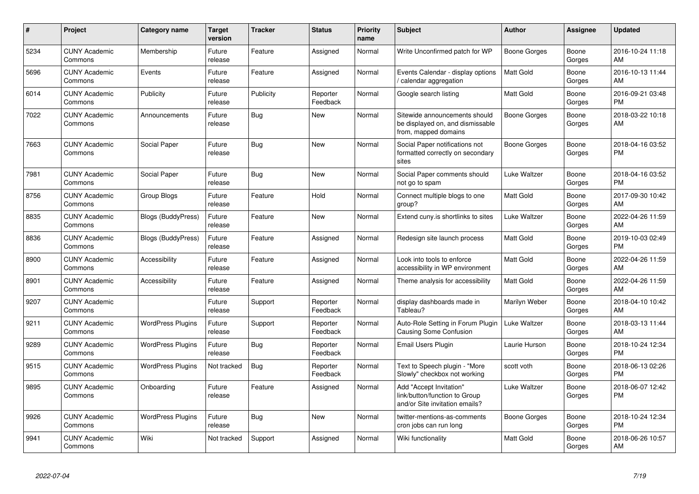| #    | Project                         | <b>Category name</b>      | <b>Target</b><br>version | <b>Tracker</b> | <b>Status</b>        | <b>Priority</b><br>name | <b>Subject</b>                                                                             | <b>Author</b>    | <b>Assignee</b> | <b>Updated</b>                |
|------|---------------------------------|---------------------------|--------------------------|----------------|----------------------|-------------------------|--------------------------------------------------------------------------------------------|------------------|-----------------|-------------------------------|
| 5234 | <b>CUNY Academic</b><br>Commons | Membership                | Future<br>release        | Feature        | Assigned             | Normal                  | Write Unconfirmed patch for WP                                                             | Boone Gorges     | Boone<br>Gorges | 2016-10-24 11:18<br>AM        |
| 5696 | <b>CUNY Academic</b><br>Commons | Events                    | Future<br>release        | Feature        | Assigned             | Normal                  | Events Calendar - display options<br>/ calendar aggregation                                | <b>Matt Gold</b> | Boone<br>Gorges | 2016-10-13 11:44<br>AM        |
| 6014 | <b>CUNY Academic</b><br>Commons | Publicity                 | Future<br>release        | Publicity      | Reporter<br>Feedback | Normal                  | Google search listing                                                                      | <b>Matt Gold</b> | Boone<br>Gorges | 2016-09-21 03:48<br><b>PM</b> |
| 7022 | <b>CUNY Academic</b><br>Commons | Announcements             | Future<br>release        | Bug            | New                  | Normal                  | Sitewide announcements should<br>be displayed on, and dismissable<br>from, mapped domains  | Boone Gorges     | Boone<br>Gorges | 2018-03-22 10:18<br>AM        |
| 7663 | <b>CUNY Academic</b><br>Commons | Social Paper              | Future<br>release        | Bug            | <b>New</b>           | Normal                  | Social Paper notifications not<br>formatted correctly on secondary<br>sites                | Boone Gorges     | Boone<br>Gorges | 2018-04-16 03:52<br><b>PM</b> |
| 7981 | <b>CUNY Academic</b><br>Commons | Social Paper              | Future<br>release        | Bug            | <b>New</b>           | Normal                  | Social Paper comments should<br>not go to spam                                             | Luke Waltzer     | Boone<br>Gorges | 2018-04-16 03:52<br><b>PM</b> |
| 8756 | <b>CUNY Academic</b><br>Commons | Group Blogs               | Future<br>release        | Feature        | Hold                 | Normal                  | Connect multiple blogs to one<br>group?                                                    | <b>Matt Gold</b> | Boone<br>Gorges | 2017-09-30 10:42<br>AM        |
| 8835 | <b>CUNY Academic</b><br>Commons | <b>Blogs (BuddyPress)</b> | Future<br>release        | Feature        | New                  | Normal                  | Extend cuny is shortlinks to sites                                                         | Luke Waltzer     | Boone<br>Gorges | 2022-04-26 11:59<br>AM        |
| 8836 | <b>CUNY Academic</b><br>Commons | <b>Blogs (BuddyPress)</b> | Future<br>release        | Feature        | Assigned             | Normal                  | Redesign site launch process                                                               | <b>Matt Gold</b> | Boone<br>Gorges | 2019-10-03 02:49<br><b>PM</b> |
| 8900 | <b>CUNY Academic</b><br>Commons | Accessibility             | Future<br>release        | Feature        | Assigned             | Normal                  | Look into tools to enforce<br>accessibility in WP environment                              | Matt Gold        | Boone<br>Gorges | 2022-04-26 11:59<br>AM        |
| 8901 | <b>CUNY Academic</b><br>Commons | Accessibility             | Future<br>release        | Feature        | Assigned             | Normal                  | Theme analysis for accessibility                                                           | <b>Matt Gold</b> | Boone<br>Gorges | 2022-04-26 11:59<br>AM        |
| 9207 | <b>CUNY Academic</b><br>Commons |                           | Future<br>release        | Support        | Reporter<br>Feedback | Normal                  | display dashboards made in<br>Tableau?                                                     | Marilyn Weber    | Boone<br>Gorges | 2018-04-10 10:42<br>AM        |
| 9211 | <b>CUNY Academic</b><br>Commons | <b>WordPress Plugins</b>  | Future<br>release        | Support        | Reporter<br>Feedback | Normal                  | Auto-Role Setting in Forum Plugin<br><b>Causing Some Confusion</b>                         | Luke Waltzer     | Boone<br>Gorges | 2018-03-13 11:44<br>AM        |
| 9289 | <b>CUNY Academic</b><br>Commons | <b>WordPress Plugins</b>  | Future<br>release        | Bug            | Reporter<br>Feedback | Normal                  | Email Users Plugin                                                                         | Laurie Hurson    | Boone<br>Gorges | 2018-10-24 12:34<br><b>PM</b> |
| 9515 | <b>CUNY Academic</b><br>Commons | <b>WordPress Plugins</b>  | Not tracked              | Bug            | Reporter<br>Feedback | Normal                  | Text to Speech plugin - "More<br>Slowly" checkbox not working                              | scott voth       | Boone<br>Gorges | 2018-06-13 02:26<br><b>PM</b> |
| 9895 | <b>CUNY Academic</b><br>Commons | Onboarding                | Future<br>release        | Feature        | Assigned             | Normal                  | Add "Accept Invitation"<br>link/button/function to Group<br>and/or Site invitation emails? | Luke Waltzer     | Boone<br>Gorges | 2018-06-07 12:42<br><b>PM</b> |
| 9926 | <b>CUNY Academic</b><br>Commons | <b>WordPress Plugins</b>  | Future<br>release        | <b>Bug</b>     | <b>New</b>           | Normal                  | twitter-mentions-as-comments<br>cron jobs can run long                                     | Boone Gorges     | Boone<br>Gorges | 2018-10-24 12:34<br><b>PM</b> |
| 9941 | <b>CUNY Academic</b><br>Commons | Wiki                      | Not tracked              | Support        | Assigned             | Normal                  | Wiki functionality                                                                         | <b>Matt Gold</b> | Boone<br>Gorges | 2018-06-26 10:57<br>AM        |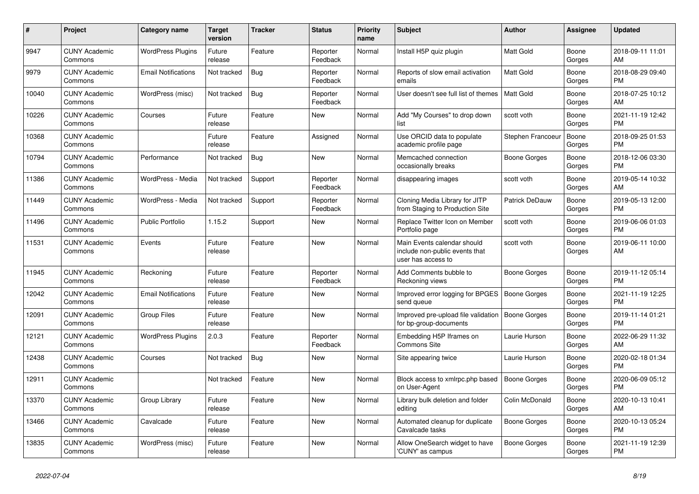| #     | Project                         | <b>Category name</b>       | Target<br>version | <b>Tracker</b> | <b>Status</b>        | <b>Priority</b><br>name | <b>Subject</b>                                                                      | <b>Author</b>       | <b>Assignee</b> | <b>Updated</b>                |
|-------|---------------------------------|----------------------------|-------------------|----------------|----------------------|-------------------------|-------------------------------------------------------------------------------------|---------------------|-----------------|-------------------------------|
| 9947  | <b>CUNY Academic</b><br>Commons | <b>WordPress Plugins</b>   | Future<br>release | Feature        | Reporter<br>Feedback | Normal                  | Install H5P quiz plugin                                                             | Matt Gold           | Boone<br>Gorges | 2018-09-11 11:01<br>AM.       |
| 9979  | <b>CUNY Academic</b><br>Commons | <b>Email Notifications</b> | Not tracked       | <b>Bug</b>     | Reporter<br>Feedback | Normal                  | Reports of slow email activation<br>emails                                          | Matt Gold           | Boone<br>Gorges | 2018-08-29 09:40<br><b>PM</b> |
| 10040 | <b>CUNY Academic</b><br>Commons | WordPress (misc)           | Not tracked       | Bug            | Reporter<br>Feedback | Normal                  | User doesn't see full list of themes                                                | <b>Matt Gold</b>    | Boone<br>Gorges | 2018-07-25 10:12<br>AM        |
| 10226 | <b>CUNY Academic</b><br>Commons | Courses                    | Future<br>release | Feature        | <b>New</b>           | Normal                  | Add "My Courses" to drop down<br>list                                               | scott voth          | Boone<br>Gorges | 2021-11-19 12:42<br><b>PM</b> |
| 10368 | <b>CUNY Academic</b><br>Commons |                            | Future<br>release | Feature        | Assigned             | Normal                  | Use ORCID data to populate<br>academic profile page                                 | Stephen Francoeur   | Boone<br>Gorges | 2018-09-25 01:53<br><b>PM</b> |
| 10794 | <b>CUNY Academic</b><br>Commons | Performance                | Not tracked       | Bug            | New                  | Normal                  | Memcached connection<br>occasionally breaks                                         | Boone Gorges        | Boone<br>Gorges | 2018-12-06 03:30<br><b>PM</b> |
| 11386 | <b>CUNY Academic</b><br>Commons | WordPress - Media          | Not tracked       | Support        | Reporter<br>Feedback | Normal                  | disappearing images                                                                 | scott voth          | Boone<br>Gorges | 2019-05-14 10:32<br>AM        |
| 11449 | <b>CUNY Academic</b><br>Commons | WordPress - Media          | Not tracked       | Support        | Reporter<br>Feedback | Normal                  | Cloning Media Library for JITP<br>from Staging to Production Site                   | Patrick DeDauw      | Boone<br>Gorges | 2019-05-13 12:00<br><b>PM</b> |
| 11496 | <b>CUNY Academic</b><br>Commons | <b>Public Portfolio</b>    | 1.15.2            | Support        | New                  | Normal                  | Replace Twitter Icon on Member<br>Portfolio page                                    | scott voth          | Boone<br>Gorges | 2019-06-06 01:03<br><b>PM</b> |
| 11531 | <b>CUNY Academic</b><br>Commons | Events                     | Future<br>release | Feature        | <b>New</b>           | Normal                  | Main Events calendar should<br>include non-public events that<br>user has access to | scott voth          | Boone<br>Gorges | 2019-06-11 10:00<br>AM        |
| 11945 | <b>CUNY Academic</b><br>Commons | Reckoning                  | Future<br>release | Feature        | Reporter<br>Feedback | Normal                  | Add Comments bubble to<br>Reckoning views                                           | Boone Gorges        | Boone<br>Gorges | 2019-11-12 05:14<br><b>PM</b> |
| 12042 | <b>CUNY Academic</b><br>Commons | <b>Email Notifications</b> | Future<br>release | Feature        | New                  | Normal                  | Improved error logging for BPGES<br>send queue                                      | Boone Gorges        | Boone<br>Gorges | 2021-11-19 12:25<br><b>PM</b> |
| 12091 | <b>CUNY Academic</b><br>Commons | <b>Group Files</b>         | Future<br>release | Feature        | <b>New</b>           | Normal                  | Improved pre-upload file validation<br>for bp-group-documents                       | Boone Gorges        | Boone<br>Gorges | 2019-11-14 01:21<br><b>PM</b> |
| 12121 | <b>CUNY Academic</b><br>Commons | <b>WordPress Plugins</b>   | 2.0.3             | Feature        | Reporter<br>Feedback | Normal                  | Embedding H5P Iframes on<br><b>Commons Site</b>                                     | Laurie Hurson       | Boone<br>Gorges | 2022-06-29 11:32<br>AM        |
| 12438 | <b>CUNY Academic</b><br>Commons | Courses                    | Not tracked       | Bug            | New                  | Normal                  | Site appearing twice                                                                | Laurie Hurson       | Boone<br>Gorges | 2020-02-18 01:34<br><b>PM</b> |
| 12911 | <b>CUNY Academic</b><br>Commons |                            | Not tracked       | Feature        | <b>New</b>           | Normal                  | Block access to xmlrpc.php based<br>on User-Agent                                   | <b>Boone Gorges</b> | Boone<br>Gorges | 2020-06-09 05:12<br><b>PM</b> |
| 13370 | <b>CUNY Academic</b><br>Commons | Group Library              | Future<br>release | Feature        | <b>New</b>           | Normal                  | Library bulk deletion and folder<br>editing                                         | Colin McDonald      | Boone<br>Gorges | 2020-10-13 10:41<br>AM        |
| 13466 | <b>CUNY Academic</b><br>Commons | Cavalcade                  | Future<br>release | Feature        | New                  | Normal                  | Automated cleanup for duplicate<br>Cavalcade tasks                                  | Boone Gorges        | Boone<br>Gorges | 2020-10-13 05:24<br><b>PM</b> |
| 13835 | <b>CUNY Academic</b><br>Commons | WordPress (misc)           | Future<br>release | Feature        | <b>New</b>           | Normal                  | Allow OneSearch widget to have<br>'CUNY' as campus                                  | <b>Boone Gorges</b> | Boone<br>Gorges | 2021-11-19 12:39<br><b>PM</b> |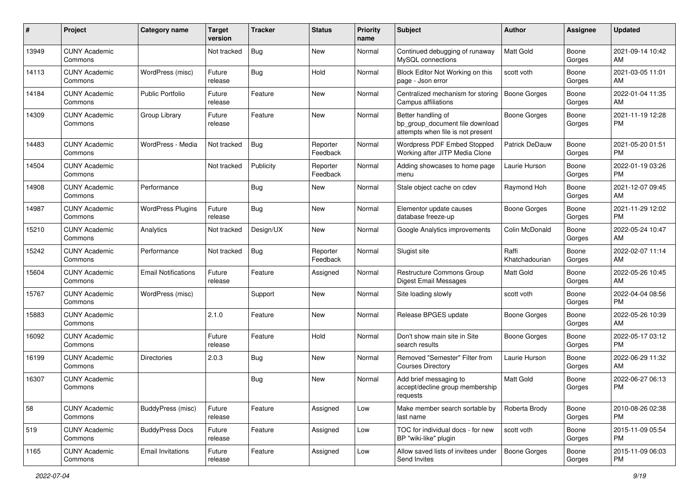| #     | Project                         | <b>Category name</b>       | <b>Target</b><br>version | Tracker    | <b>Status</b>        | <b>Priority</b><br>name | <b>Subject</b>                                                                             | Author                  | <b>Assignee</b> | <b>Updated</b>                |
|-------|---------------------------------|----------------------------|--------------------------|------------|----------------------|-------------------------|--------------------------------------------------------------------------------------------|-------------------------|-----------------|-------------------------------|
| 13949 | <b>CUNY Academic</b><br>Commons |                            | Not tracked              | <b>Bug</b> | <b>New</b>           | Normal                  | Continued debugging of runaway<br>MySQL connections                                        | <b>Matt Gold</b>        | Boone<br>Gorges | 2021-09-14 10:42<br>AM        |
| 14113 | <b>CUNY Academic</b><br>Commons | WordPress (misc)           | Future<br>release        | Bug        | Hold                 | Normal                  | Block Editor Not Working on this<br>page - Json error                                      | scott voth              | Boone<br>Gorges | 2021-03-05 11:01<br>AM        |
| 14184 | <b>CUNY Academic</b><br>Commons | <b>Public Portfolio</b>    | Future<br>release        | Feature    | <b>New</b>           | Normal                  | Centralized mechanism for storing<br>Campus affiliations                                   | <b>Boone Gorges</b>     | Boone<br>Gorges | 2022-01-04 11:35<br>AM        |
| 14309 | <b>CUNY Academic</b><br>Commons | Group Library              | Future<br>release        | Feature    | <b>New</b>           | Normal                  | Better handling of<br>bp_group_document file download<br>attempts when file is not present | Boone Gorges            | Boone<br>Gorges | 2021-11-19 12:28<br><b>PM</b> |
| 14483 | <b>CUNY Academic</b><br>Commons | WordPress - Media          | Not tracked              | Bug        | Reporter<br>Feedback | Normal                  | <b>Wordpress PDF Embed Stopped</b><br>Working after JITP Media Clone                       | Patrick DeDauw          | Boone<br>Gorges | 2021-05-20 01:51<br>PM        |
| 14504 | <b>CUNY Academic</b><br>Commons |                            | Not tracked              | Publicity  | Reporter<br>Feedback | Normal                  | Adding showcases to home page<br>menu                                                      | Laurie Hurson           | Boone<br>Gorges | 2022-01-19 03:26<br><b>PM</b> |
| 14908 | <b>CUNY Academic</b><br>Commons | Performance                |                          | <b>Bug</b> | New                  | Normal                  | Stale object cache on cdev                                                                 | Raymond Hoh             | Boone<br>Gorges | 2021-12-07 09:45<br>AM        |
| 14987 | <b>CUNY Academic</b><br>Commons | <b>WordPress Plugins</b>   | Future<br>release        | Bug        | <b>New</b>           | Normal                  | Elementor update causes<br>database freeze-up                                              | <b>Boone Gorges</b>     | Boone<br>Gorges | 2021-11-29 12:02<br><b>PM</b> |
| 15210 | <b>CUNY Academic</b><br>Commons | Analytics                  | Not tracked              | Design/UX  | <b>New</b>           | Normal                  | Google Analytics improvements                                                              | Colin McDonald          | Boone<br>Gorges | 2022-05-24 10:47<br>AM        |
| 15242 | <b>CUNY Academic</b><br>Commons | Performance                | Not tracked              | <b>Bug</b> | Reporter<br>Feedback | Normal                  | Slugist site                                                                               | Raffi<br>Khatchadourian | Boone<br>Gorges | 2022-02-07 11:14<br>AM        |
| 15604 | <b>CUNY Academic</b><br>Commons | <b>Email Notifications</b> | Future<br>release        | Feature    | Assigned             | Normal                  | Restructure Commons Group<br><b>Digest Email Messages</b>                                  | Matt Gold               | Boone<br>Gorges | 2022-05-26 10:45<br>AM        |
| 15767 | <b>CUNY Academic</b><br>Commons | WordPress (misc)           |                          | Support    | <b>New</b>           | Normal                  | Site loading slowly                                                                        | scott voth              | Boone<br>Gorges | 2022-04-04 08:56<br><b>PM</b> |
| 15883 | <b>CUNY Academic</b><br>Commons |                            | 2.1.0                    | Feature    | <b>New</b>           | Normal                  | Release BPGES update                                                                       | Boone Gorges            | Boone<br>Gorges | 2022-05-26 10:39<br>AM        |
| 16092 | <b>CUNY Academic</b><br>Commons |                            | Future<br>release        | Feature    | Hold                 | Normal                  | Don't show main site in Site<br>search results                                             | <b>Boone Gorges</b>     | Boone<br>Gorges | 2022-05-17 03:12<br><b>PM</b> |
| 16199 | <b>CUNY Academic</b><br>Commons | <b>Directories</b>         | 2.0.3                    | Bug        | <b>New</b>           | Normal                  | Removed "Semester" Filter from<br><b>Courses Directory</b>                                 | Laurie Hurson           | Boone<br>Gorges | 2022-06-29 11:32<br>AM        |
| 16307 | <b>CUNY Academic</b><br>Commons |                            |                          | <b>Bug</b> | <b>New</b>           | Normal                  | Add brief messaging to<br>accept/decline group membership<br>requests                      | <b>Matt Gold</b>        | Boone<br>Gorges | 2022-06-27 06:13<br><b>PM</b> |
| 58    | <b>CUNY Academic</b><br>Commons | <b>BuddyPress (misc)</b>   | Future<br>release        | Feature    | Assigned             | Low                     | Make member search sortable by<br>last name                                                | Roberta Brody           | Boone<br>Gorges | 2010-08-26 02:38<br>PM.       |
| 519   | <b>CUNY Academic</b><br>Commons | <b>BuddyPress Docs</b>     | Future<br>release        | Feature    | Assigned             | Low                     | TOC for individual docs - for new<br>BP "wiki-like" plugin                                 | scott voth              | Boone<br>Gorges | 2015-11-09 05:54<br><b>PM</b> |
| 1165  | <b>CUNY Academic</b><br>Commons | <b>Email Invitations</b>   | Future<br>release        | Feature    | Assigned             | Low                     | Allow saved lists of invitees under<br>Send Invites                                        | Boone Gorges            | Boone<br>Gorges | 2015-11-09 06:03<br>PM        |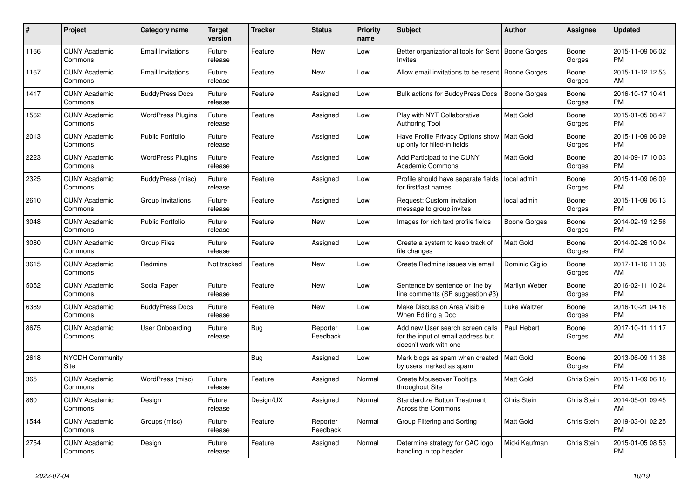| #    | Project                         | Category name            | Target<br>version | Tracker   | <b>Status</b>        | <b>Priority</b><br>name | <b>Subject</b>                                                                                  | <b>Author</b>    | <b>Assignee</b>    | <b>Updated</b>                |
|------|---------------------------------|--------------------------|-------------------|-----------|----------------------|-------------------------|-------------------------------------------------------------------------------------------------|------------------|--------------------|-------------------------------|
| 1166 | <b>CUNY Academic</b><br>Commons | <b>Email Invitations</b> | Future<br>release | Feature   | New                  | Low                     | Better organizational tools for Sent<br>Invites                                                 | Boone Gorges     | Boone<br>Gorges    | 2015-11-09 06:02<br><b>PM</b> |
| 1167 | <b>CUNY Academic</b><br>Commons | <b>Email Invitations</b> | Future<br>release | Feature   | New                  | Low                     | Allow email invitations to be resent   Boone Gorges                                             |                  | Boone<br>Gorges    | 2015-11-12 12:53<br>AM        |
| 1417 | <b>CUNY Academic</b><br>Commons | <b>BuddyPress Docs</b>   | Future<br>release | Feature   | Assigned             | Low                     | <b>Bulk actions for BuddyPress Docs</b>                                                         | Boone Gorges     | Boone<br>Gorges    | 2016-10-17 10:41<br><b>PM</b> |
| 1562 | <b>CUNY Academic</b><br>Commons | <b>WordPress Plugins</b> | Future<br>release | Feature   | Assigned             | Low                     | Play with NYT Collaborative<br><b>Authoring Tool</b>                                            | <b>Matt Gold</b> | Boone<br>Gorges    | 2015-01-05 08:47<br><b>PM</b> |
| 2013 | <b>CUNY Academic</b><br>Commons | <b>Public Portfolio</b>  | Future<br>release | Feature   | Assigned             | Low                     | Have Profile Privacy Options show<br>up only for filled-in fields                               | Matt Gold        | Boone<br>Gorges    | 2015-11-09 06:09<br><b>PM</b> |
| 2223 | <b>CUNY Academic</b><br>Commons | <b>WordPress Plugins</b> | Future<br>release | Feature   | Assigned             | Low                     | Add Participad to the CUNY<br>Academic Commons                                                  | Matt Gold        | Boone<br>Gorges    | 2014-09-17 10:03<br><b>PM</b> |
| 2325 | <b>CUNY Academic</b><br>Commons | BuddyPress (misc)        | Future<br>release | Feature   | Assigned             | Low                     | Profile should have separate fields<br>for first/last names                                     | l local admin    | Boone<br>Gorges    | 2015-11-09 06:09<br><b>PM</b> |
| 2610 | <b>CUNY Academic</b><br>Commons | Group Invitations        | Future<br>release | Feature   | Assigned             | Low                     | Request: Custom invitation<br>message to group invites                                          | local admin      | Boone<br>Gorges    | 2015-11-09 06:13<br><b>PM</b> |
| 3048 | <b>CUNY Academic</b><br>Commons | <b>Public Portfolio</b>  | Future<br>release | Feature   | New                  | Low                     | Images for rich text profile fields                                                             | Boone Gorges     | Boone<br>Gorges    | 2014-02-19 12:56<br><b>PM</b> |
| 3080 | <b>CUNY Academic</b><br>Commons | <b>Group Files</b>       | Future<br>release | Feature   | Assigned             | Low                     | Create a system to keep track of<br>file changes                                                | <b>Matt Gold</b> | Boone<br>Gorges    | 2014-02-26 10:04<br><b>PM</b> |
| 3615 | <b>CUNY Academic</b><br>Commons | Redmine                  | Not tracked       | Feature   | New                  | Low                     | Create Redmine issues via email                                                                 | Dominic Giglio   | Boone<br>Gorges    | 2017-11-16 11:36<br>AM        |
| 5052 | <b>CUNY Academic</b><br>Commons | Social Paper             | Future<br>release | Feature   | <b>New</b>           | Low                     | Sentence by sentence or line by<br>line comments (SP suggestion #3)                             | Marilyn Weber    | Boone<br>Gorges    | 2016-02-11 10:24<br><b>PM</b> |
| 6389 | <b>CUNY Academic</b><br>Commons | <b>BuddyPress Docs</b>   | Future<br>release | Feature   | New                  | Low                     | <b>Make Discussion Area Visible</b><br>When Editing a Doc                                       | Luke Waltzer     | Boone<br>Gorges    | 2016-10-21 04:16<br><b>PM</b> |
| 8675 | <b>CUNY Academic</b><br>Commons | <b>User Onboarding</b>   | Future<br>release | Bug       | Reporter<br>Feedback | Low                     | Add new User search screen calls<br>for the input of email address but<br>doesn't work with one | Paul Hebert      | Boone<br>Gorges    | 2017-10-11 11:17<br>AM        |
| 2618 | <b>NYCDH Community</b><br>Site  |                          |                   | Bug       | Assigned             | Low                     | Mark blogs as spam when created   Matt Gold<br>by users marked as spam                          |                  | Boone<br>Gorges    | 2013-06-09 11:38<br><b>PM</b> |
| 365  | <b>CUNY Academic</b><br>Commons | WordPress (misc)         | Future<br>release | Feature   | Assigned             | Normal                  | <b>Create Mouseover Tooltips</b><br>throughout Site                                             | Matt Gold        | Chris Stein        | 2015-11-09 06:18<br><b>PM</b> |
| 860  | <b>CUNY Academic</b><br>Commons | Design                   | Future<br>release | Design/UX | Assigned             | Normal                  | <b>Standardize Button Treatment</b><br><b>Across the Commons</b>                                | Chris Stein      | <b>Chris Stein</b> | 2014-05-01 09:45<br>AM        |
| 1544 | <b>CUNY Academic</b><br>Commons | Groups (misc)            | Future<br>release | Feature   | Reporter<br>Feedback | Normal                  | Group Filtering and Sorting                                                                     | <b>Matt Gold</b> | Chris Stein        | 2019-03-01 02:25<br><b>PM</b> |
| 2754 | <b>CUNY Academic</b><br>Commons | Design                   | Future<br>release | Feature   | Assigned             | Normal                  | Determine strategy for CAC logo<br>handling in top header                                       | Micki Kaufman    | <b>Chris Stein</b> | 2015-01-05 08:53<br><b>PM</b> |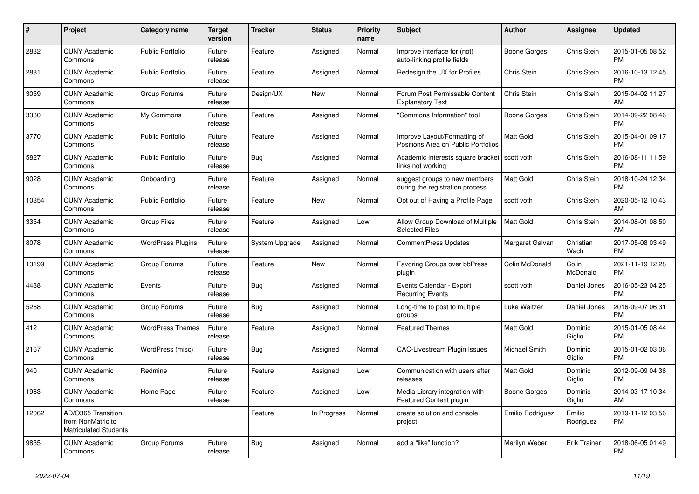| #     | <b>Project</b>                                                          | Category name            | <b>Target</b><br>version | <b>Tracker</b> | <b>Status</b> | <b>Priority</b><br>name | <b>Subject</b>                                                      | <b>Author</b>    | Assignee            | <b>Updated</b>                |
|-------|-------------------------------------------------------------------------|--------------------------|--------------------------|----------------|---------------|-------------------------|---------------------------------------------------------------------|------------------|---------------------|-------------------------------|
| 2832  | <b>CUNY Academic</b><br>Commons                                         | <b>Public Portfolio</b>  | Future<br>release        | Feature        | Assigned      | Normal                  | Improve interface for (not)<br>auto-linking profile fields          | Boone Gorges     | Chris Stein         | 2015-01-05 08:52<br><b>PM</b> |
| 2881  | <b>CUNY Academic</b><br>Commons                                         | Public Portfolio         | Future<br>release        | Feature        | Assigned      | Normal                  | Redesign the UX for Profiles                                        | Chris Stein      | Chris Stein         | 2016-10-13 12:45<br><b>PM</b> |
| 3059  | <b>CUNY Academic</b><br>Commons                                         | Group Forums             | Future<br>release        | Design/UX      | New           | Normal                  | Forum Post Permissable Content<br><b>Explanatory Text</b>           | Chris Stein      | Chris Stein         | 2015-04-02 11:27<br>AM        |
| 3330  | <b>CUNY Academic</b><br>Commons                                         | My Commons               | Future<br>release        | Feature        | Assigned      | Normal                  | "Commons Information" tool                                          | Boone Gorges     | Chris Stein         | 2014-09-22 08:46<br><b>PM</b> |
| 3770  | <b>CUNY Academic</b><br>Commons                                         | Public Portfolio         | Future<br>release        | Feature        | Assigned      | Normal                  | Improve Layout/Formatting of<br>Positions Area on Public Portfolios | Matt Gold        | Chris Stein         | 2015-04-01 09:17<br><b>PM</b> |
| 5827  | <b>CUNY Academic</b><br>Commons                                         | <b>Public Portfolio</b>  | Future<br>release        | Bug            | Assigned      | Normal                  | Academic Interests square bracket<br>links not working              | scott voth       | Chris Stein         | 2016-08-11 11:59<br><b>PM</b> |
| 9028  | <b>CUNY Academic</b><br>Commons                                         | Onboarding               | Future<br>release        | Feature        | Assigned      | Normal                  | suggest groups to new members<br>during the registration process    | <b>Matt Gold</b> | Chris Stein         | 2018-10-24 12:34<br><b>PM</b> |
| 10354 | <b>CUNY Academic</b><br>Commons                                         | <b>Public Portfolio</b>  | Future<br>release        | Feature        | New           | Normal                  | Opt out of Having a Profile Page                                    | scott voth       | Chris Stein         | 2020-05-12 10:43<br>AM        |
| 3354  | <b>CUNY Academic</b><br>Commons                                         | Group Files              | Future<br>release        | Feature        | Assigned      | Low                     | Allow Group Download of Multiple<br><b>Selected Files</b>           | Matt Gold        | Chris Stein         | 2014-08-01 08:50<br>AM        |
| 8078  | <b>CUNY Academic</b><br>Commons                                         | <b>WordPress Plugins</b> | Future<br>release        | System Upgrade | Assigned      | Normal                  | <b>CommentPress Updates</b>                                         | Margaret Galvan  | Christian<br>Wach   | 2017-05-08 03:49<br><b>PM</b> |
| 13199 | <b>CUNY Academic</b><br>Commons                                         | Group Forums             | Future<br>release        | Feature        | New           | Normal                  | Favoring Groups over bbPress<br>plugin                              | Colin McDonald   | Colin<br>McDonald   | 2021-11-19 12:28<br><b>PM</b> |
| 4438  | <b>CUNY Academic</b><br>Commons                                         | Events                   | Future<br>release        | Bug            | Assigned      | Normal                  | Events Calendar - Export<br><b>Recurring Events</b>                 | scott voth       | Daniel Jones        | 2016-05-23 04:25<br><b>PM</b> |
| 5268  | <b>CUNY Academic</b><br>Commons                                         | Group Forums             | Future<br>release        | Bug            | Assigned      | Normal                  | Long-time to post to multiple<br>groups                             | Luke Waltzer     | Daniel Jones        | 2016-09-07 06:31<br><b>PM</b> |
| 412   | <b>CUNY Academic</b><br>Commons                                         | <b>WordPress Themes</b>  | Future<br>release        | Feature        | Assigned      | Normal                  | <b>Featured Themes</b>                                              | <b>Matt Gold</b> | Dominic<br>Giglio   | 2015-01-05 08:44<br><b>PM</b> |
| 2167  | <b>CUNY Academic</b><br>Commons                                         | WordPress (misc)         | Future<br>release        | Bug            | Assigned      | Normal                  | <b>CAC-Livestream Plugin Issues</b>                                 | Michael Smith    | Dominic<br>Giglio   | 2015-01-02 03:06<br><b>PM</b> |
| 940   | <b>CUNY Academic</b><br>Commons                                         | Redmine                  | Future<br>release        | Feature        | Assigned      | Low                     | Communication with users after<br>releases                          | Matt Gold        | Dominic<br>Giglio   | 2012-09-09 04:36<br><b>PM</b> |
| 1983  | <b>CUNY Academic</b><br>Commons                                         | Home Page                | Future<br>release        | Feature        | Assigned      | Low                     | Media Library integration with<br><b>Featured Content plugin</b>    | Boone Gorges     | Dominic<br>Giglio   | 2014-03-17 10:34<br>AM        |
| 12062 | AD/O365 Transition<br>from NonMatric to<br><b>Matriculated Students</b> |                          |                          | Feature        | In Progress   | Normal                  | create solution and console<br>project                              | Emilio Rodriguez | Emilio<br>Rodriguez | 2019-11-12 03:56<br><b>PM</b> |
| 9835  | <b>CUNY Academic</b><br>Commons                                         | Group Forums             | Future<br>release        | Bug            | Assigned      | Normal                  | add a "like" function?                                              | Marilyn Weber    | Erik Trainer        | 2018-06-05 01:49<br><b>PM</b> |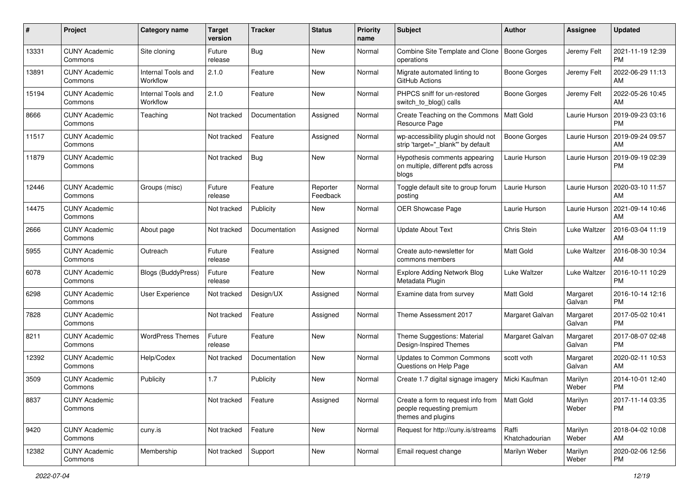| #     | Project                         | <b>Category name</b>           | <b>Target</b><br>version | <b>Tracker</b> | <b>Status</b>        | Priority<br>name | <b>Subject</b>                                                                        | <b>Author</b>           | <b>Assignee</b>    | <b>Updated</b>                |
|-------|---------------------------------|--------------------------------|--------------------------|----------------|----------------------|------------------|---------------------------------------------------------------------------------------|-------------------------|--------------------|-------------------------------|
| 13331 | <b>CUNY Academic</b><br>Commons | Site cloning                   | Future<br>release        | <b>Bug</b>     | <b>New</b>           | Normal           | Combine Site Template and Clone<br>operations                                         | Boone Gorges            | Jeremy Felt        | 2021-11-19 12:39<br>PM.       |
| 13891 | <b>CUNY Academic</b><br>Commons | Internal Tools and<br>Workflow | 2.1.0                    | Feature        | New                  | Normal           | Migrate automated linting to<br>GitHub Actions                                        | Boone Gorges            | Jeremy Felt        | 2022-06-29 11:13<br><b>AM</b> |
| 15194 | <b>CUNY Academic</b><br>Commons | Internal Tools and<br>Workflow | 2.1.0                    | Feature        | New                  | Normal           | PHPCS sniff for un-restored<br>switch_to_blog() calls                                 | Boone Gorges            | Jeremy Felt        | 2022-05-26 10:45<br>AM.       |
| 8666  | <b>CUNY Academic</b><br>Commons | Teaching                       | Not tracked              | Documentation  | Assigned             | Normal           | Create Teaching on the Commons<br>Resource Page                                       | <b>Matt Gold</b>        | Laurie Hurson      | 2019-09-23 03:16<br><b>PM</b> |
| 11517 | <b>CUNY Academic</b><br>Commons |                                | Not tracked              | Feature        | Assigned             | Normal           | wp-accessibility plugin should not<br>strip 'target="_blank" by default               | Boone Gorges            | Laurie Hurson      | 2019-09-24 09:57<br>AM        |
| 11879 | <b>CUNY Academic</b><br>Commons |                                | Not tracked              | Bug            | New                  | Normal           | Hypothesis comments appearing<br>on multiple, different pdfs across<br>blogs          | Laurie Hurson           | Laurie Hurson      | 2019-09-19 02:39<br><b>PM</b> |
| 12446 | <b>CUNY Academic</b><br>Commons | Groups (misc)                  | Future<br>release        | Feature        | Reporter<br>Feedback | Normal           | Toggle default site to group forum<br>posting                                         | Laurie Hurson           | Laurie Hurson      | 2020-03-10 11:57<br>AM        |
| 14475 | <b>CUNY Academic</b><br>Commons |                                | Not tracked              | Publicity      | New                  | Normal           | OER Showcase Page                                                                     | Laurie Hurson           | Laurie Hurson      | 2021-09-14 10:46<br>AM        |
| 2666  | <b>CUNY Academic</b><br>Commons | About page                     | Not tracked              | Documentation  | Assigned             | Normal           | <b>Update About Text</b>                                                              | Chris Stein             | Luke Waltzer       | 2016-03-04 11:19<br>AM.       |
| 5955  | <b>CUNY Academic</b><br>Commons | Outreach                       | Future<br>release        | Feature        | Assigned             | Normal           | Create auto-newsletter for<br>commons members                                         | Matt Gold               | Luke Waltzer       | 2016-08-30 10:34<br>AM        |
| 6078  | <b>CUNY Academic</b><br>Commons | <b>Blogs (BuddyPress)</b>      | Future<br>release        | Feature        | New                  | Normal           | <b>Explore Adding Network Blog</b><br>Metadata Plugin                                 | Luke Waltzer            | Luke Waltzer       | 2016-10-11 10:29<br><b>PM</b> |
| 6298  | <b>CUNY Academic</b><br>Commons | User Experience                | Not tracked              | Design/UX      | Assigned             | Normal           | Examine data from survey                                                              | <b>Matt Gold</b>        | Margaret<br>Galvan | 2016-10-14 12:16<br>PM.       |
| 7828  | <b>CUNY Academic</b><br>Commons |                                | Not tracked              | Feature        | Assigned             | Normal           | Theme Assessment 2017                                                                 | Margaret Galvan         | Margaret<br>Galvan | 2017-05-02 10:41<br><b>PM</b> |
| 8211  | <b>CUNY Academic</b><br>Commons | <b>WordPress Themes</b>        | Future<br>release        | Feature        | New                  | Normal           | Theme Suggestions: Material<br>Design-Inspired Themes                                 | Margaret Galvan         | Margaret<br>Galvan | 2017-08-07 02:48<br><b>PM</b> |
| 12392 | <b>CUNY Academic</b><br>Commons | Help/Codex                     | Not tracked              | Documentation  | New                  | Normal           | Updates to Common Commons<br>Questions on Help Page                                   | scott voth              | Margaret<br>Galvan | 2020-02-11 10:53<br>AM.       |
| 3509  | <b>CUNY Academic</b><br>Commons | Publicity                      | 1.7                      | Publicity      | New                  | Normal           | Create 1.7 digital signage imagery                                                    | Micki Kaufman           | Marilyn<br>Weber   | 2014-10-01 12:40<br><b>PM</b> |
| 8837  | <b>CUNY Academic</b><br>Commons |                                | Not tracked              | Feature        | Assigned             | Normal           | Create a form to request info from<br>people requesting premium<br>themes and plugins | Matt Gold               | Marilyn<br>Weber   | 2017-11-14 03:35<br>PM        |
| 9420  | <b>CUNY Academic</b><br>Commons | cuny.is                        | Not tracked              | Feature        | New                  | Normal           | Request for http://cuny.is/streams                                                    | Raffi<br>Khatchadourian | Marilyn<br>Weber   | 2018-04-02 10:08<br>AM        |
| 12382 | <b>CUNY Academic</b><br>Commons | Membership                     | Not tracked              | Support        | New                  | Normal           | Email request change                                                                  | Marilyn Weber           | Marilyn<br>Weber   | 2020-02-06 12:56<br>PM        |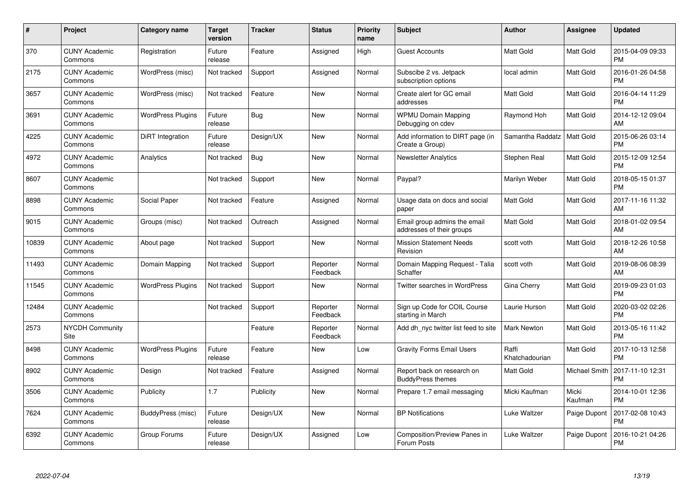| $\#$  | Project                         | <b>Category name</b>     | Target<br>version | <b>Tracker</b> | <b>Status</b>        | Priority<br>name | <b>Subject</b>                                            | <b>Author</b>           | <b>Assignee</b>  | <b>Updated</b>                |
|-------|---------------------------------|--------------------------|-------------------|----------------|----------------------|------------------|-----------------------------------------------------------|-------------------------|------------------|-------------------------------|
| 370   | <b>CUNY Academic</b><br>Commons | Registration             | Future<br>release | Feature        | Assigned             | High             | <b>Guest Accounts</b>                                     | <b>Matt Gold</b>        | Matt Gold        | 2015-04-09 09:33<br><b>PM</b> |
| 2175  | <b>CUNY Academic</b><br>Commons | WordPress (misc)         | Not tracked       | Support        | Assigned             | Normal           | Subscibe 2 vs. Jetpack<br>subscription options            | local admin             | Matt Gold        | 2016-01-26 04:58<br><b>PM</b> |
| 3657  | <b>CUNY Academic</b><br>Commons | WordPress (misc)         | Not tracked       | Feature        | <b>New</b>           | Normal           | Create alert for GC email<br>addresses                    | Matt Gold               | Matt Gold        | 2016-04-14 11:29<br><b>PM</b> |
| 3691  | <b>CUNY Academic</b><br>Commons | <b>WordPress Plugins</b> | Future<br>release | Bug            | <b>New</b>           | Normal           | <b>WPMU Domain Mapping</b><br>Debugging on cdev           | Raymond Hoh             | Matt Gold        | 2014-12-12 09:04<br>AM        |
| 4225  | <b>CUNY Academic</b><br>Commons | DiRT Integration         | Future<br>release | Design/UX      | <b>New</b>           | Normal           | Add information to DIRT page (in<br>Create a Group)       | Samantha Raddatz        | <b>Matt Gold</b> | 2015-06-26 03:14<br><b>PM</b> |
| 4972  | <b>CUNY Academic</b><br>Commons | Analytics                | Not tracked       | Bug            | <b>New</b>           | Normal           | <b>Newsletter Analytics</b>                               | Stephen Real            | Matt Gold        | 2015-12-09 12:54<br><b>PM</b> |
| 8607  | <b>CUNY Academic</b><br>Commons |                          | Not tracked       | Support        | <b>New</b>           | Normal           | Paypal?                                                   | Marilyn Weber           | Matt Gold        | 2018-05-15 01:37<br><b>PM</b> |
| 8898  | <b>CUNY Academic</b><br>Commons | Social Paper             | Not tracked       | Feature        | Assigned             | Normal           | Usage data on docs and social<br>paper                    | <b>Matt Gold</b>        | Matt Gold        | 2017-11-16 11:32<br>AM        |
| 9015  | <b>CUNY Academic</b><br>Commons | Groups (misc)            | Not tracked       | Outreach       | Assigned             | Normal           | Email group admins the email<br>addresses of their groups | <b>Matt Gold</b>        | Matt Gold        | 2018-01-02 09:54<br>AM        |
| 10839 | <b>CUNY Academic</b><br>Commons | About page               | Not tracked       | Support        | <b>New</b>           | Normal           | <b>Mission Statement Needs</b><br>Revision                | scott voth              | Matt Gold        | 2018-12-26 10:58<br>AM        |
| 11493 | <b>CUNY Academic</b><br>Commons | Domain Mapping           | Not tracked       | Support        | Reporter<br>Feedback | Normal           | Domain Mapping Request - Talia<br>Schaffer                | scott voth              | Matt Gold        | 2019-08-06 08:39<br>AM        |
| 11545 | <b>CUNY Academic</b><br>Commons | <b>WordPress Plugins</b> | Not tracked       | Support        | New                  | Normal           | <b>Twitter searches in WordPress</b>                      | Gina Cherry             | Matt Gold        | 2019-09-23 01:03<br><b>PM</b> |
| 12484 | <b>CUNY Academic</b><br>Commons |                          | Not tracked       | Support        | Reporter<br>Feedback | Normal           | Sign up Code for COIL Course<br>starting in March         | Laurie Hurson           | Matt Gold        | 2020-03-02 02:26<br><b>PM</b> |
| 2573  | <b>NYCDH Community</b><br>Site  |                          |                   | Feature        | Reporter<br>Feedback | Normal           | Add dh nyc twitter list feed to site                      | <b>Mark Newton</b>      | Matt Gold        | 2013-05-16 11:42<br><b>PM</b> |
| 8498  | <b>CUNY Academic</b><br>Commons | <b>WordPress Plugins</b> | Future<br>release | Feature        | New                  | Low              | <b>Gravity Forms Email Users</b>                          | Raffi<br>Khatchadourian | Matt Gold        | 2017-10-13 12:58<br><b>PM</b> |
| 8902  | <b>CUNY Academic</b><br>Commons | Design                   | Not tracked       | Feature        | Assigned             | Normal           | Report back on research on<br><b>BuddyPress themes</b>    | Matt Gold               | Michael Smith    | 2017-11-10 12:31<br><b>PM</b> |
| 3506  | <b>CUNY Academic</b><br>Commons | Publicity                | 1.7               | Publicity      | New                  | Normal           | Prepare 1.7 email messaging                               | Micki Kaufman           | Micki<br>Kaufman | 2014-10-01 12:36<br><b>PM</b> |
| 7624  | <b>CUNY Academic</b><br>Commons | BuddyPress (misc)        | Future<br>release | Design/UX      | New                  | Normal           | <b>BP</b> Notifications                                   | Luke Waltzer            | Paige Dupont     | 2017-02-08 10:43<br><b>PM</b> |
| 6392  | <b>CUNY Academic</b><br>Commons | Group Forums             | Future<br>release | Design/UX      | Assigned             | Low              | Composition/Preview Panes in<br>Forum Posts               | Luke Waltzer            | Paige Dupont     | 2016-10-21 04:26<br><b>PM</b> |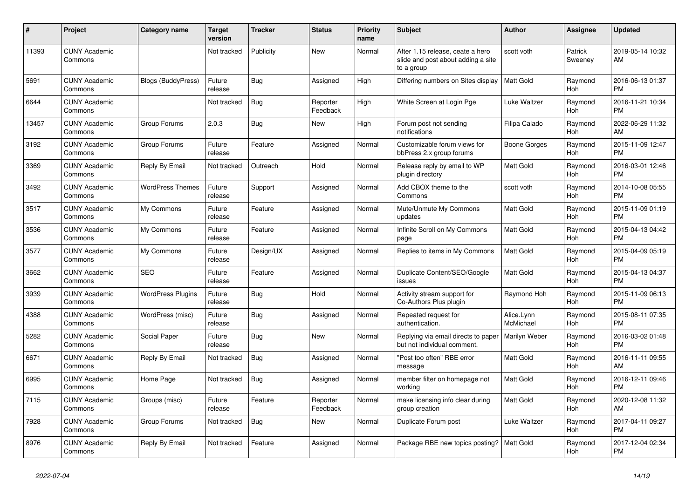| #     | Project                         | <b>Category name</b>      | <b>Target</b><br>version | <b>Tracker</b> | <b>Status</b>        | <b>Priority</b><br>name | <b>Subject</b>                                                                       | <b>Author</b>           | <b>Assignee</b>    | <b>Updated</b>                |
|-------|---------------------------------|---------------------------|--------------------------|----------------|----------------------|-------------------------|--------------------------------------------------------------------------------------|-------------------------|--------------------|-------------------------------|
| 11393 | <b>CUNY Academic</b><br>Commons |                           | Not tracked              | Publicity      | New                  | Normal                  | After 1.15 release, ceate a hero<br>slide and post about adding a site<br>to a group | scott voth              | Patrick<br>Sweeney | 2019-05-14 10:32<br>AM        |
| 5691  | <b>CUNY Academic</b><br>Commons | <b>Blogs (BuddyPress)</b> | Future<br>release        | <b>Bug</b>     | Assigned             | High                    | Differing numbers on Sites display                                                   | <b>Matt Gold</b>        | Raymond<br>Hoh     | 2016-06-13 01:37<br><b>PM</b> |
| 6644  | <b>CUNY Academic</b><br>Commons |                           | Not tracked              | <b>Bug</b>     | Reporter<br>Feedback | High                    | White Screen at Login Pge                                                            | Luke Waltzer            | Raymond<br>Hoh     | 2016-11-21 10:34<br><b>PM</b> |
| 13457 | <b>CUNY Academic</b><br>Commons | Group Forums              | 2.0.3                    | <b>Bug</b>     | New                  | High                    | Forum post not sending<br>notifications                                              | Filipa Calado           | Raymond<br>Hoh     | 2022-06-29 11:32<br>AM        |
| 3192  | <b>CUNY Academic</b><br>Commons | Group Forums              | Future<br>release        | Feature        | Assigned             | Normal                  | Customizable forum views for<br>bbPress 2.x group forums                             | Boone Gorges            | Raymond<br>Hoh     | 2015-11-09 12:47<br><b>PM</b> |
| 3369  | <b>CUNY Academic</b><br>Commons | Reply By Email            | Not tracked              | Outreach       | Hold                 | Normal                  | Release reply by email to WP<br>plugin directory                                     | <b>Matt Gold</b>        | Raymond<br>Hoh     | 2016-03-01 12:46<br><b>PM</b> |
| 3492  | <b>CUNY Academic</b><br>Commons | <b>WordPress Themes</b>   | Future<br>release        | Support        | Assigned             | Normal                  | Add CBOX theme to the<br>Commons                                                     | scott voth              | Raymond<br>Hoh     | 2014-10-08 05:55<br><b>PM</b> |
| 3517  | <b>CUNY Academic</b><br>Commons | My Commons                | Future<br>release        | Feature        | Assigned             | Normal                  | Mute/Unmute My Commons<br>updates                                                    | <b>Matt Gold</b>        | Raymond<br>Hoh     | 2015-11-09 01:19<br><b>PM</b> |
| 3536  | <b>CUNY Academic</b><br>Commons | My Commons                | Future<br>release        | Feature        | Assigned             | Normal                  | Infinite Scroll on My Commons<br>page                                                | <b>Matt Gold</b>        | Raymond<br>Hoh     | 2015-04-13 04:42<br><b>PM</b> |
| 3577  | <b>CUNY Academic</b><br>Commons | My Commons                | Future<br>release        | Design/UX      | Assigned             | Normal                  | Replies to items in My Commons                                                       | Matt Gold               | Raymond<br>Hoh     | 2015-04-09 05:19<br><b>PM</b> |
| 3662  | <b>CUNY Academic</b><br>Commons | <b>SEO</b>                | Future<br>release        | Feature        | Assigned             | Normal                  | Duplicate Content/SEO/Google<br>issues                                               | <b>Matt Gold</b>        | Raymond<br>Hoh     | 2015-04-13 04:37<br><b>PM</b> |
| 3939  | <b>CUNY Academic</b><br>Commons | <b>WordPress Plugins</b>  | Future<br>release        | Bug            | Hold                 | Normal                  | Activity stream support for<br>Co-Authors Plus plugin                                | Raymond Hoh             | Raymond<br>Hoh     | 2015-11-09 06:13<br><b>PM</b> |
| 4388  | <b>CUNY Academic</b><br>Commons | WordPress (misc)          | Future<br>release        | Bug            | Assigned             | Normal                  | Repeated request for<br>authentication.                                              | Alice.Lynn<br>McMichael | Raymond<br>Hoh     | 2015-08-11 07:35<br><b>PM</b> |
| 5282  | <b>CUNY Academic</b><br>Commons | Social Paper              | Future<br>release        | Bug            | New                  | Normal                  | Replying via email directs to paper<br>but not individual comment.                   | Marilyn Weber           | Raymond<br>Hoh     | 2016-03-02 01:48<br><b>PM</b> |
| 6671  | <b>CUNY Academic</b><br>Commons | Reply By Email            | Not tracked              | Bug            | Assigned             | Normal                  | "Post too often" RBE error<br>message                                                | <b>Matt Gold</b>        | Raymond<br>Hoh     | 2016-11-11 09:55<br>AM        |
| 6995  | <b>CUNY Academic</b><br>Commons | Home Page                 | Not tracked              | <b>Bug</b>     | Assigned             | Normal                  | member filter on homepage not<br>working                                             | <b>Matt Gold</b>        | Raymond<br>Hoh     | 2016-12-11 09:46<br><b>PM</b> |
| 7115  | <b>CUNY Academic</b><br>Commons | Groups (misc)             | Future<br>release        | Feature        | Reporter<br>Feedback | Normal                  | make licensing info clear during<br>group creation                                   | <b>Matt Gold</b>        | Raymond<br>Hoh     | 2020-12-08 11:32<br>AM        |
| 7928  | <b>CUNY Academic</b><br>Commons | Group Forums              | Not tracked              | <b>Bug</b>     | New                  | Normal                  | Duplicate Forum post                                                                 | Luke Waltzer            | Raymond<br>Hoh     | 2017-04-11 09:27<br><b>PM</b> |
| 8976  | <b>CUNY Academic</b><br>Commons | Reply By Email            | Not tracked              | Feature        | Assigned             | Normal                  | Package RBE new topics posting?                                                      | Matt Gold               | Raymond<br>Hoh     | 2017-12-04 02:34<br><b>PM</b> |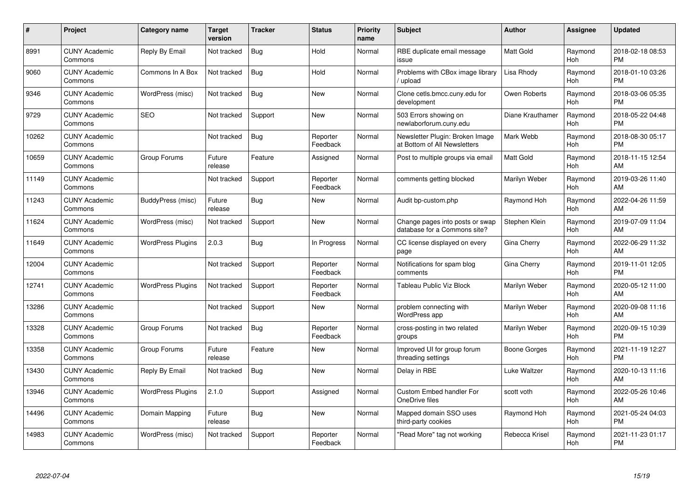| $\#$  | Project                         | <b>Category name</b>     | Target<br>version | <b>Tracker</b> | <b>Status</b>        | Priority<br>name | <b>Subject</b>                                                  | <b>Author</b>    | <b>Assignee</b> | <b>Updated</b>                |
|-------|---------------------------------|--------------------------|-------------------|----------------|----------------------|------------------|-----------------------------------------------------------------|------------------|-----------------|-------------------------------|
| 8991  | <b>CUNY Academic</b><br>Commons | Reply By Email           | Not tracked       | <b>Bug</b>     | Hold                 | Normal           | RBE duplicate email message<br>issue                            | <b>Matt Gold</b> | Raymond<br>Hoh  | 2018-02-18 08:53<br><b>PM</b> |
| 9060  | <b>CUNY Academic</b><br>Commons | Commons In A Box         | Not tracked       | Bug            | Hold                 | Normal           | Problems with CBox image library<br>upload                      | Lisa Rhody       | Raymond<br>Hoh  | 2018-01-10 03:26<br><b>PM</b> |
| 9346  | <b>CUNY Academic</b><br>Commons | WordPress (misc)         | Not tracked       | Bug            | <b>New</b>           | Normal           | Clone cetls.bmcc.cuny.edu for<br>development                    | Owen Roberts     | Raymond<br>Hoh  | 2018-03-06 05:35<br><b>PM</b> |
| 9729  | <b>CUNY Academic</b><br>Commons | <b>SEO</b>               | Not tracked       | Support        | <b>New</b>           | Normal           | 503 Errors showing on<br>newlaborforum.cuny.edu                 | Diane Krauthamer | Raymond<br>Hoh  | 2018-05-22 04:48<br><b>PM</b> |
| 10262 | <b>CUNY Academic</b><br>Commons |                          | Not tracked       | Bug            | Reporter<br>Feedback | Normal           | Newsletter Plugin: Broken Image<br>at Bottom of All Newsletters | Mark Webb        | Raymond<br>Hoh  | 2018-08-30 05:17<br><b>PM</b> |
| 10659 | <b>CUNY Academic</b><br>Commons | Group Forums             | Future<br>release | Feature        | Assigned             | Normal           | Post to multiple groups via email                               | <b>Matt Gold</b> | Raymond<br>Hoh  | 2018-11-15 12:54<br>AM        |
| 11149 | <b>CUNY Academic</b><br>Commons |                          | Not tracked       | Support        | Reporter<br>Feedback | Normal           | comments getting blocked                                        | Marilyn Weber    | Raymond<br>Hoh  | 2019-03-26 11:40<br>AM        |
| 11243 | <b>CUNY Academic</b><br>Commons | BuddyPress (misc)        | Future<br>release | Bug            | <b>New</b>           | Normal           | Audit bp-custom.php                                             | Raymond Hoh      | Raymond<br>Hoh  | 2022-04-26 11:59<br>AM        |
| 11624 | <b>CUNY Academic</b><br>Commons | WordPress (misc)         | Not tracked       | Support        | New                  | Normal           | Change pages into posts or swap<br>database for a Commons site? | Stephen Klein    | Raymond<br>Hoh  | 2019-07-09 11:04<br>AM        |
| 11649 | <b>CUNY Academic</b><br>Commons | <b>WordPress Plugins</b> | 2.0.3             | <b>Bug</b>     | In Progress          | Normal           | CC license displayed on every<br>page                           | Gina Cherry      | Raymond<br>Hoh  | 2022-06-29 11:32<br>AM        |
| 12004 | <b>CUNY Academic</b><br>Commons |                          | Not tracked       | Support        | Reporter<br>Feedback | Normal           | Notifications for spam blog<br>comments                         | Gina Cherry      | Raymond<br>Hoh  | 2019-11-01 12:05<br><b>PM</b> |
| 12741 | <b>CUNY Academic</b><br>Commons | <b>WordPress Plugins</b> | Not tracked       | Support        | Reporter<br>Feedback | Normal           | <b>Tableau Public Viz Block</b>                                 | Marilyn Weber    | Raymond<br>Hoh  | 2020-05-12 11:00<br>AM        |
| 13286 | <b>CUNY Academic</b><br>Commons |                          | Not tracked       | Support        | New                  | Normal           | problem connecting with<br><b>WordPress app</b>                 | Marilyn Weber    | Raymond<br>Hoh  | 2020-09-08 11:16<br>AM        |
| 13328 | <b>CUNY Academic</b><br>Commons | Group Forums             | Not tracked       | <b>Bug</b>     | Reporter<br>Feedback | Normal           | cross-posting in two related<br>groups                          | Marilyn Weber    | Raymond<br>Hoh  | 2020-09-15 10:39<br><b>PM</b> |
| 13358 | <b>CUNY Academic</b><br>Commons | Group Forums             | Future<br>release | Feature        | New                  | Normal           | Improved UI for group forum<br>threading settings               | Boone Gorges     | Raymond<br>Hoh  | 2021-11-19 12:27<br><b>PM</b> |
| 13430 | <b>CUNY Academic</b><br>Commons | Reply By Email           | Not tracked       | Bug            | New                  | Normal           | Delay in RBE                                                    | Luke Waltzer     | Raymond<br>Hoh  | 2020-10-13 11:16<br>AM        |
| 13946 | <b>CUNY Academic</b><br>Commons | <b>WordPress Plugins</b> | 2.1.0             | Support        | Assigned             | Normal           | <b>Custom Embed handler For</b><br>OneDrive files               | scott voth       | Raymond<br>Hoh  | 2022-05-26 10:46<br>AM        |
| 14496 | <b>CUNY Academic</b><br>Commons | Domain Mapping           | Future<br>release | Bug            | New                  | Normal           | Mapped domain SSO uses<br>third-party cookies                   | Raymond Hoh      | Raymond<br>Hoh  | 2021-05-24 04:03<br><b>PM</b> |
| 14983 | CUNY Academic<br>Commons        | WordPress (misc)         | Not tracked       | Support        | Reporter<br>Feedback | Normal           | "Read More" tag not working                                     | Rebecca Krisel   | Raymond<br>Hoh  | 2021-11-23 01:17<br><b>PM</b> |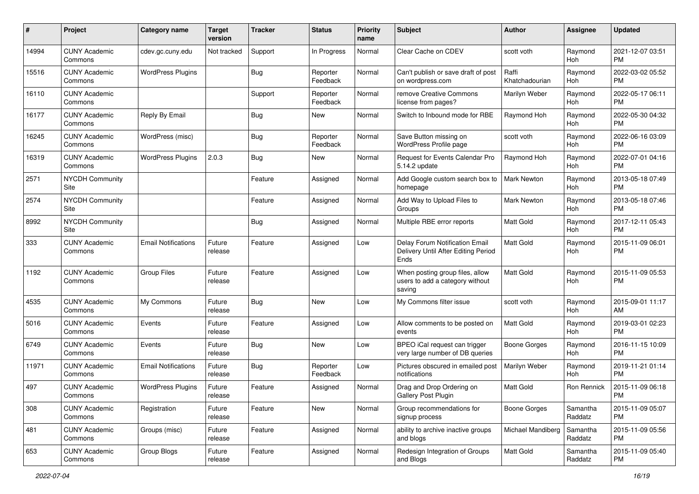| #     | Project                         | <b>Category name</b>       | <b>Target</b><br>version | <b>Tracker</b> | <b>Status</b>        | Priority<br>name | <b>Subject</b>                                                                | Author                  | <b>Assignee</b>       | <b>Updated</b>                |
|-------|---------------------------------|----------------------------|--------------------------|----------------|----------------------|------------------|-------------------------------------------------------------------------------|-------------------------|-----------------------|-------------------------------|
| 14994 | <b>CUNY Academic</b><br>Commons | cdev.gc.cuny.edu           | Not tracked              | Support        | In Progress          | Normal           | Clear Cache on CDEV                                                           | scott voth              | Raymond<br>Hoh        | 2021-12-07 03:51<br><b>PM</b> |
| 15516 | <b>CUNY Academic</b><br>Commons | <b>WordPress Plugins</b>   |                          | <b>Bug</b>     | Reporter<br>Feedback | Normal           | Can't publish or save draft of post<br>on wordpress.com                       | Raffi<br>Khatchadourian | Raymond<br>Hoh        | 2022-03-02 05:52<br><b>PM</b> |
| 16110 | <b>CUNY Academic</b><br>Commons |                            |                          | Support        | Reporter<br>Feedback | Normal           | remove Creative Commons<br>license from pages?                                | Marilyn Weber           | Raymond<br>Hoh        | 2022-05-17 06:11<br><b>PM</b> |
| 16177 | <b>CUNY Academic</b><br>Commons | Reply By Email             |                          | Bug            | New                  | Normal           | Switch to Inbound mode for RBE                                                | Raymond Hoh             | Raymond<br>Hoh        | 2022-05-30 04:32<br><b>PM</b> |
| 16245 | <b>CUNY Academic</b><br>Commons | WordPress (misc)           |                          | Bug            | Reporter<br>Feedback | Normal           | Save Button missing on<br>WordPress Profile page                              | scott voth              | Raymond<br>Hoh        | 2022-06-16 03:09<br><b>PM</b> |
| 16319 | <b>CUNY Academic</b><br>Commons | <b>WordPress Plugins</b>   | 2.0.3                    | Bug            | New                  | Normal           | Request for Events Calendar Pro<br>5.14.2 update                              | Raymond Hoh             | Raymond<br>Hoh        | 2022-07-01 04:16<br><b>PM</b> |
| 2571  | <b>NYCDH Community</b><br>Site  |                            |                          | Feature        | Assigned             | Normal           | Add Google custom search box to<br>homepage                                   | Mark Newton             | Raymond<br>Hoh        | 2013-05-18 07:49<br><b>PM</b> |
| 2574  | <b>NYCDH Community</b><br>Site  |                            |                          | Feature        | Assigned             | Normal           | Add Way to Upload Files to<br>Groups                                          | Mark Newton             | Raymond<br>Hoh        | 2013-05-18 07:46<br><b>PM</b> |
| 8992  | <b>NYCDH Community</b><br>Site  |                            |                          | <b>Bug</b>     | Assigned             | Normal           | Multiple RBE error reports                                                    | Matt Gold               | Raymond<br>Hoh        | 2017-12-11 05:43<br><b>PM</b> |
| 333   | <b>CUNY Academic</b><br>Commons | <b>Email Notifications</b> | Future<br>release        | Feature        | Assigned             | Low              | Delay Forum Notification Email<br>Delivery Until After Editing Period<br>Ends | Matt Gold               | Raymond<br>Hoh        | 2015-11-09 06:01<br><b>PM</b> |
| 1192  | <b>CUNY Academic</b><br>Commons | <b>Group Files</b>         | Future<br>release        | Feature        | Assigned             | Low              | When posting group files, allow<br>users to add a category without<br>saving  | <b>Matt Gold</b>        | Raymond<br>Hoh        | 2015-11-09 05:53<br><b>PM</b> |
| 4535  | <b>CUNY Academic</b><br>Commons | My Commons                 | Future<br>release        | <b>Bug</b>     | New                  | Low              | My Commons filter issue                                                       | scott voth              | Raymond<br>Hoh        | 2015-09-01 11:17<br>AM        |
| 5016  | <b>CUNY Academic</b><br>Commons | Events                     | Future<br>release        | Feature        | Assigned             | Low              | Allow comments to be posted on<br>events                                      | <b>Matt Gold</b>        | Raymond<br>Hoh        | 2019-03-01 02:23<br><b>PM</b> |
| 6749  | <b>CUNY Academic</b><br>Commons | Events                     | Future<br>release        | Bug            | New                  | Low              | BPEO iCal request can trigger<br>very large number of DB queries              | Boone Gorges            | Raymond<br><b>Hoh</b> | 2016-11-15 10:09<br><b>PM</b> |
| 11971 | <b>CUNY Academic</b><br>Commons | <b>Email Notifications</b> | Future<br>release        | Bug            | Reporter<br>Feedback | Low              | Pictures obscured in emailed post<br>notifications                            | Marilyn Weber           | Raymond<br>Hoh        | 2019-11-21 01:14<br><b>PM</b> |
| 497   | <b>CUNY Academic</b><br>Commons | <b>WordPress Plugins</b>   | Future<br>release        | Feature        | Assigned             | Normal           | Drag and Drop Ordering on<br>Gallery Post Plugin                              | Matt Gold               | Ron Rennick           | 2015-11-09 06:18<br>PM        |
| 308   | <b>CUNY Academic</b><br>Commons | Registration               | Future<br>release        | Feature        | New                  | Normal           | Group recommendations for<br>signup process                                   | <b>Boone Gorges</b>     | Samantha<br>Raddatz   | 2015-11-09 05:07<br><b>PM</b> |
| 481   | <b>CUNY Academic</b><br>Commons | Groups (misc)              | Future<br>release        | Feature        | Assigned             | Normal           | ability to archive inactive groups<br>and blogs                               | Michael Mandiberg       | Samantha<br>Raddatz   | 2015-11-09 05:56<br><b>PM</b> |
| 653   | <b>CUNY Academic</b><br>Commons | Group Blogs                | Future<br>release        | Feature        | Assigned             | Normal           | Redesign Integration of Groups<br>and Blogs                                   | Matt Gold               | Samantha<br>Raddatz   | 2015-11-09 05:40<br><b>PM</b> |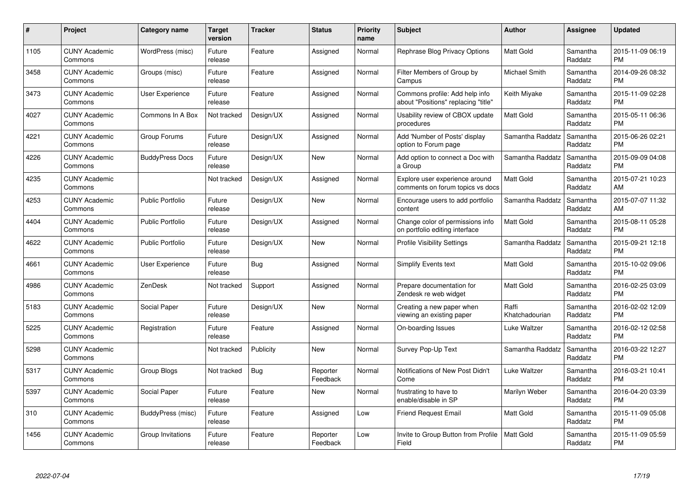| $\#$ | Project                         | <b>Category name</b>    | <b>Target</b><br>version | <b>Tracker</b> | <b>Status</b>        | <b>Priority</b><br>name | <b>Subject</b>                                                        | <b>Author</b>           | Assignee            | <b>Updated</b>                |
|------|---------------------------------|-------------------------|--------------------------|----------------|----------------------|-------------------------|-----------------------------------------------------------------------|-------------------------|---------------------|-------------------------------|
| 1105 | <b>CUNY Academic</b><br>Commons | WordPress (misc)        | Future<br>release        | Feature        | Assigned             | Normal                  | Rephrase Blog Privacy Options                                         | <b>Matt Gold</b>        | Samantha<br>Raddatz | 2015-11-09 06:19<br><b>PM</b> |
| 3458 | <b>CUNY Academic</b><br>Commons | Groups (misc)           | Future<br>release        | Feature        | Assigned             | Normal                  | Filter Members of Group by<br>Campus                                  | Michael Smith           | Samantha<br>Raddatz | 2014-09-26 08:32<br><b>PM</b> |
| 3473 | <b>CUNY Academic</b><br>Commons | User Experience         | Future<br>release        | Feature        | Assigned             | Normal                  | Commons profile: Add help info<br>about "Positions" replacing "title" | Keith Miyake            | Samantha<br>Raddatz | 2015-11-09 02:28<br><b>PM</b> |
| 4027 | <b>CUNY Academic</b><br>Commons | Commons In A Box        | Not tracked              | Design/UX      | Assigned             | Normal                  | Usability review of CBOX update<br>procedures                         | Matt Gold               | Samantha<br>Raddatz | 2015-05-11 06:36<br><b>PM</b> |
| 4221 | <b>CUNY Academic</b><br>Commons | Group Forums            | Future<br>release        | Design/UX      | Assigned             | Normal                  | Add 'Number of Posts' display<br>option to Forum page                 | Samantha Raddatz        | Samantha<br>Raddatz | 2015-06-26 02:21<br><b>PM</b> |
| 4226 | <b>CUNY Academic</b><br>Commons | <b>BuddyPress Docs</b>  | Future<br>release        | Design/UX      | <b>New</b>           | Normal                  | Add option to connect a Doc with<br>a Group                           | Samantha Raddatz        | Samantha<br>Raddatz | 2015-09-09 04:08<br><b>PM</b> |
| 4235 | <b>CUNY Academic</b><br>Commons |                         | Not tracked              | Design/UX      | Assigned             | Normal                  | Explore user experience around<br>comments on forum topics vs docs    | Matt Gold               | Samantha<br>Raddatz | 2015-07-21 10:23<br>AM        |
| 4253 | <b>CUNY Academic</b><br>Commons | <b>Public Portfolio</b> | Future<br>release        | Design/UX      | <b>New</b>           | Normal                  | Encourage users to add portfolio<br>content                           | Samantha Raddatz        | Samantha<br>Raddatz | 2015-07-07 11:32<br>AM        |
| 4404 | <b>CUNY Academic</b><br>Commons | <b>Public Portfolio</b> | Future<br>release        | Design/UX      | Assigned             | Normal                  | Change color of permissions info<br>on portfolio editing interface    | <b>Matt Gold</b>        | Samantha<br>Raddatz | 2015-08-11 05:28<br><b>PM</b> |
| 4622 | <b>CUNY Academic</b><br>Commons | <b>Public Portfolio</b> | Future<br>release        | Design/UX      | <b>New</b>           | Normal                  | <b>Profile Visibility Settings</b>                                    | Samantha Raddatz        | Samantha<br>Raddatz | 2015-09-21 12:18<br><b>PM</b> |
| 4661 | <b>CUNY Academic</b><br>Commons | <b>User Experience</b>  | Future<br>release        | Bug            | Assigned             | Normal                  | Simplify Events text                                                  | Matt Gold               | Samantha<br>Raddatz | 2015-10-02 09:06<br><b>PM</b> |
| 4986 | <b>CUNY Academic</b><br>Commons | ZenDesk                 | Not tracked              | Support        | Assigned             | Normal                  | Prepare documentation for<br>Zendesk re web widget                    | Matt Gold               | Samantha<br>Raddatz | 2016-02-25 03:09<br><b>PM</b> |
| 5183 | <b>CUNY Academic</b><br>Commons | Social Paper            | Future<br>release        | Design/UX      | New                  | Normal                  | Creating a new paper when<br>viewing an existing paper                | Raffi<br>Khatchadourian | Samantha<br>Raddatz | 2016-02-02 12:09<br><b>PM</b> |
| 5225 | <b>CUNY Academic</b><br>Commons | Registration            | Future<br>release        | Feature        | Assigned             | Normal                  | On-boarding Issues                                                    | Luke Waltzer            | Samantha<br>Raddatz | 2016-02-12 02:58<br><b>PM</b> |
| 5298 | <b>CUNY Academic</b><br>Commons |                         | Not tracked              | Publicity      | New                  | Normal                  | Survey Pop-Up Text                                                    | Samantha Raddatz        | Samantha<br>Raddatz | 2016-03-22 12:27<br><b>PM</b> |
| 5317 | <b>CUNY Academic</b><br>Commons | Group Blogs             | Not tracked              | Bug            | Reporter<br>Feedback | Normal                  | Notifications of New Post Didn't<br>Come                              | Luke Waltzer            | Samantha<br>Raddatz | 2016-03-21 10:41<br><b>PM</b> |
| 5397 | <b>CUNY Academic</b><br>Commons | Social Paper            | Future<br>release        | Feature        | New                  | Normal                  | frustrating to have to<br>enable/disable in SP                        | Marilyn Weber           | Samantha<br>Raddatz | 2016-04-20 03:39<br><b>PM</b> |
| 310  | <b>CUNY Academic</b><br>Commons | BuddyPress (misc)       | Future<br>release        | Feature        | Assigned             | Low                     | <b>Friend Request Email</b>                                           | Matt Gold               | Samantha<br>Raddatz | 2015-11-09 05:08<br><b>PM</b> |
| 1456 | <b>CUNY Academic</b><br>Commons | Group Invitations       | Future<br>release        | Feature        | Reporter<br>Feedback | Low                     | Invite to Group Button from Profile<br>Field                          | <b>Matt Gold</b>        | Samantha<br>Raddatz | 2015-11-09 05:59<br><b>PM</b> |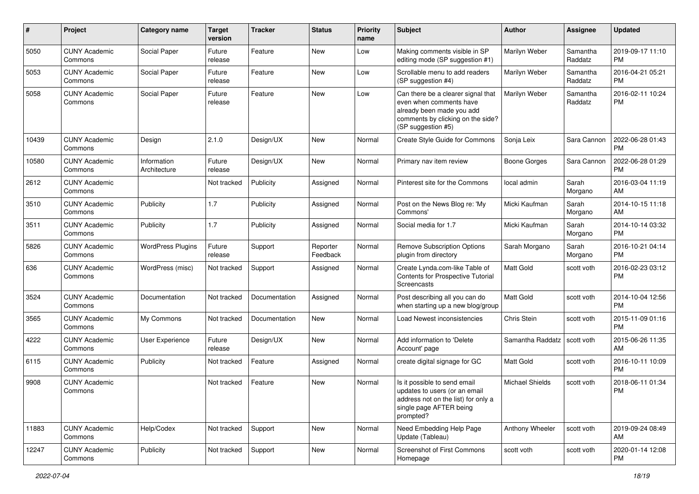| #     | Project                         | <b>Category name</b>        | <b>Target</b><br>version | <b>Tracker</b> | <b>Status</b>        | <b>Priority</b><br>name | Subject                                                                                                                                               | Author                 | <b>Assignee</b>     | <b>Updated</b>                |
|-------|---------------------------------|-----------------------------|--------------------------|----------------|----------------------|-------------------------|-------------------------------------------------------------------------------------------------------------------------------------------------------|------------------------|---------------------|-------------------------------|
| 5050  | <b>CUNY Academic</b><br>Commons | Social Paper                | Future<br>release        | Feature        | <b>New</b>           | Low                     | Making comments visible in SP<br>editing mode (SP suggestion #1)                                                                                      | Marilyn Weber          | Samantha<br>Raddatz | 2019-09-17 11:10<br><b>PM</b> |
| 5053  | <b>CUNY Academic</b><br>Commons | Social Paper                | Future<br>release        | Feature        | New                  | Low                     | Scrollable menu to add readers<br>(SP suggestion #4)                                                                                                  | Marilyn Weber          | Samantha<br>Raddatz | 2016-04-21 05:21<br><b>PM</b> |
| 5058  | <b>CUNY Academic</b><br>Commons | Social Paper                | Future<br>release        | Feature        | <b>New</b>           | Low                     | Can there be a clearer signal that<br>even when comments have<br>already been made you add<br>comments by clicking on the side?<br>(SP suggestion #5) | Marilyn Weber          | Samantha<br>Raddatz | 2016-02-11 10:24<br><b>PM</b> |
| 10439 | <b>CUNY Academic</b><br>Commons | Design                      | 2.1.0                    | Design/UX      | <b>New</b>           | Normal                  | Create Style Guide for Commons                                                                                                                        | Sonja Leix             | Sara Cannon         | 2022-06-28 01:43<br><b>PM</b> |
| 10580 | <b>CUNY Academic</b><br>Commons | Information<br>Architecture | Future<br>release        | Design/UX      | New                  | Normal                  | Primary nav item review                                                                                                                               | Boone Gorges           | Sara Cannon         | 2022-06-28 01:29<br><b>PM</b> |
| 2612  | <b>CUNY Academic</b><br>Commons |                             | Not tracked              | Publicity      | Assigned             | Normal                  | Pinterest site for the Commons                                                                                                                        | local admin            | Sarah<br>Morgano    | 2016-03-04 11:19<br>AM        |
| 3510  | <b>CUNY Academic</b><br>Commons | Publicity                   | 1.7                      | Publicity      | Assigned             | Normal                  | Post on the News Blog re: 'My<br>Commons'                                                                                                             | Micki Kaufman          | Sarah<br>Morgano    | 2014-10-15 11:18<br>AM        |
| 3511  | <b>CUNY Academic</b><br>Commons | Publicity                   | 1.7                      | Publicity      | Assigned             | Normal                  | Social media for 1.7                                                                                                                                  | Micki Kaufman          | Sarah<br>Morgano    | 2014-10-14 03:32<br><b>PM</b> |
| 5826  | <b>CUNY Academic</b><br>Commons | <b>WordPress Plugins</b>    | Future<br>release        | Support        | Reporter<br>Feedback | Normal                  | <b>Remove Subscription Options</b><br>plugin from directory                                                                                           | Sarah Morgano          | Sarah<br>Morgano    | 2016-10-21 04:14<br><b>PM</b> |
| 636   | <b>CUNY Academic</b><br>Commons | WordPress (misc)            | Not tracked              | Support        | Assigned             | Normal                  | Create Lynda.com-like Table of<br>Contents for Prospective Tutorial<br>Screencasts                                                                    | <b>Matt Gold</b>       | scott voth          | 2016-02-23 03:12<br><b>PM</b> |
| 3524  | <b>CUNY Academic</b><br>Commons | Documentation               | Not tracked              | Documentation  | Assigned             | Normal                  | Post describing all you can do<br>when starting up a new blog/group                                                                                   | Matt Gold              | scott voth          | 2014-10-04 12:56<br><b>PM</b> |
| 3565  | <b>CUNY Academic</b><br>Commons | My Commons                  | Not tracked              | Documentation  | <b>New</b>           | Normal                  | Load Newest inconsistencies                                                                                                                           | Chris Stein            | scott voth          | 2015-11-09 01:16<br><b>PM</b> |
| 4222  | <b>CUNY Academic</b><br>Commons | User Experience             | Future<br>release        | Design/UX      | <b>New</b>           | Normal                  | Add information to 'Delete<br>Account' page                                                                                                           | Samantha Raddatz       | scott voth          | 2015-06-26 11:35<br>AM        |
| 6115  | <b>CUNY Academic</b><br>Commons | Publicity                   | Not tracked              | Feature        | Assigned             | Normal                  | create digital signage for GC                                                                                                                         | Matt Gold              | scott voth          | 2016-10-11 10:09<br><b>PM</b> |
| 9908  | <b>CUNY Academic</b><br>Commons |                             | Not tracked              | Feature        | New                  | Normal                  | Is it possible to send email<br>updates to users (or an email<br>address not on the list) for only a<br>single page AFTER being<br>prompted?          | <b>Michael Shields</b> | scott voth          | 2018-06-11 01:34<br><b>PM</b> |
| 11883 | <b>CUNY Academic</b><br>Commons | Help/Codex                  | Not tracked              | Support        | New                  | Normal                  | Need Embedding Help Page<br>Update (Tableau)                                                                                                          | Anthony Wheeler        | scott voth          | 2019-09-24 08:49<br>AM        |
| 12247 | <b>CUNY Academic</b><br>Commons | Publicity                   | Not tracked              | Support        | New                  | Normal                  | Screenshot of First Commons<br>Homepage                                                                                                               | scott voth             | scott voth          | 2020-01-14 12:08<br><b>PM</b> |